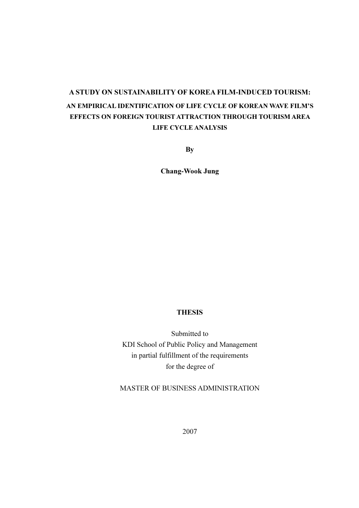# A STUDY ON SUSTAINABILITY OF KOREA FILM-INDUCED TOURISM: AN EMPIRICAL IDENTIFICATION OF LIFE CYCLE OF KOREAN WAVE FILM'S EFFECTS ON FOREIGN TOURIST ATTRACTION THROUGH TOURISM AREA LIFE CYCLE ANALYSIS

**By** 

Chang-Wook Jung

#### THESIS

Submitted to KDI School of Public Policy and Management in partial fulfillment of the requirements for the degree of

MASTER OF BUSINESS ADMINISTRATION

2007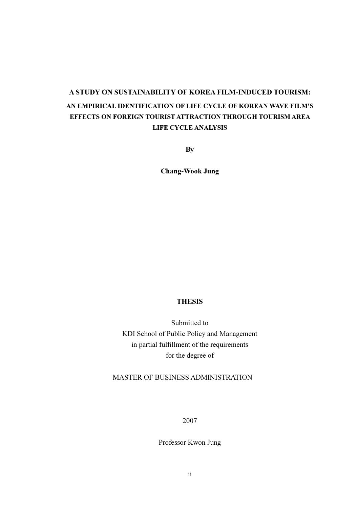# A STUDY ON SUSTAINABILITY OF KOREA FILM-INDUCED TOURISM: AN EMPIRICAL IDENTIFICATION OF LIFE CYCLE OF KOREAN WAVE FILM'S EFFECTS ON FOREIGN TOURIST ATTRACTION THROUGH TOURISM AREA LIFE CYCLE ANALYSIS

**By** 

Chang-Wook Jung

### THESIS

Submitted to KDI School of Public Policy and Management in partial fulfillment of the requirements for the degree of

MASTER OF BUSINESS ADMINISTRATION

2007

Professor Kwon Jung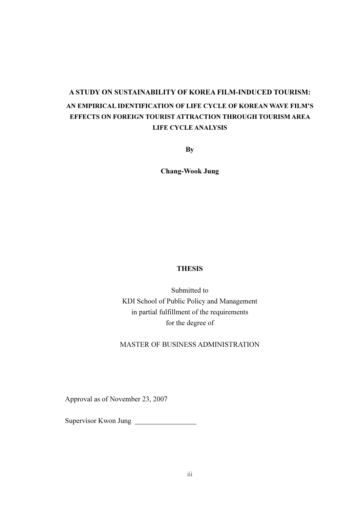# A STUDY ON SUSTAINABILITY OF KOREA FILM-INDUCED TOURISM: AN EMPIRICAL IDENTIFICATION OF LIFE CYCLE OF KOREAN WAVE FILM'S EFFECTS ON FOREIGN TOURIST ATTRACTION THROUGH TOURISM AREA LIFE CYCLE ANALYSIS

**By** 

Chang-Wook Jung

### **THESIS**

Submitted to KDI School of Public Policy and Management in partial fulfillment of the requirements for the degree of

MASTER OF BUSINESS ADMINISTRATION

Approval as of November 23, 2007

Supervisor Kwon Jung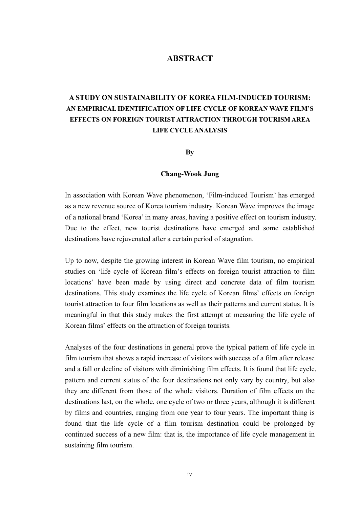## **ABSTRACT**

## A STUDY ON SUSTAINABILITY OF KOREA FILM-INDUCED TOURISM: AN EMPIRICAL IDENTIFICATION OF LIFE CYCLE OF KOREAN WAVE FILM'S EFFECTS ON FOREIGN TOURIST ATTRACTION THROUGH TOURISM AREA LIFE CYCLE ANALYSIS

By

#### Chang-Wook Jung

In association with Korean Wave phenomenon, 'Film-induced Tourism' has emerged as a new revenue source of Korea tourism industry. Korean Wave improves the image of a national brand 'Korea' in many areas, having a positive effect on tourism industry. Due to the effect, new tourist destinations have emerged and some established destinations have rejuvenated after a certain period of stagnation.

Up to now, despite the growing interest in Korean Wave film tourism, no empirical studies on 'life cycle of Korean film's effects on foreign tourist attraction to film locations' have been made by using direct and concrete data of film tourism destinations. This study examines the life cycle of Korean films' effects on foreign tourist attraction to four film locations as well as their patterns and current status. It is meaningful in that this study makes the first attempt at measuring the life cycle of Korean films' effects on the attraction of foreign tourists.

Analyses of the four destinations in general prove the typical pattern of life cycle in film tourism that shows a rapid increase of visitors with success of a film after release and a fall or decline of visitors with diminishing film effects. It is found that life cycle, pattern and current status of the four destinations not only vary by country, but also they are different from those of the whole visitors. Duration of film effects on the destinations last, on the whole, one cycle of two or three years, although it is different by films and countries, ranging from one year to four years. The important thing is found that the life cycle of a film tourism destination could be prolonged by continued success of a new film: that is, the importance of life cycle management in sustaining film tourism.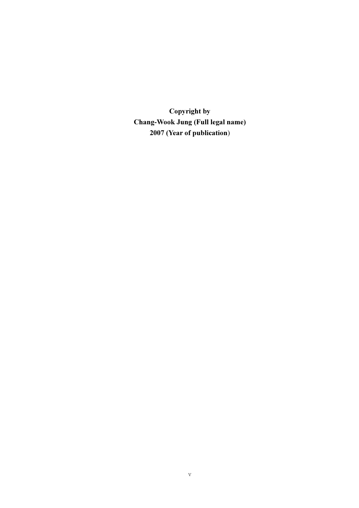Copyright by Chang-Wook Jung (Full legal name) 2007 (Year of publication)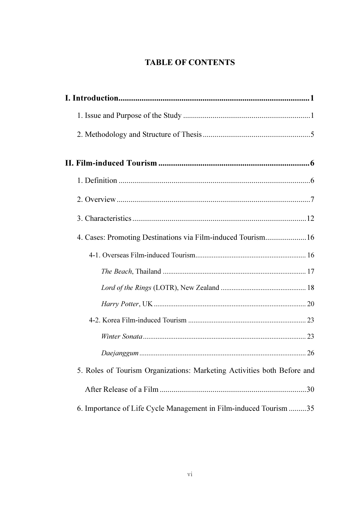# **TABLE OF CONTENTS**

| 4. Cases: Promoting Destinations via Film-induced Tourism16             |
|-------------------------------------------------------------------------|
|                                                                         |
|                                                                         |
|                                                                         |
|                                                                         |
|                                                                         |
|                                                                         |
|                                                                         |
| 5. Roles of Tourism Organizations: Marketing Activities both Before and |
|                                                                         |
| 6. Importance of Life Cycle Management in Film-induced Tourism 35       |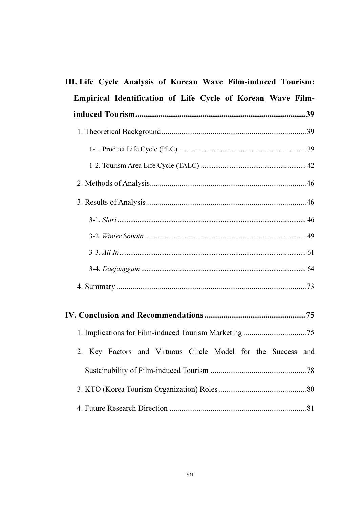| III. Life Cycle Analysis of Korean Wave Film-induced Tourism: |  |
|---------------------------------------------------------------|--|
| Empirical Identification of Life Cycle of Korean Wave Film-   |  |
|                                                               |  |
|                                                               |  |
|                                                               |  |
|                                                               |  |
|                                                               |  |
|                                                               |  |
|                                                               |  |
|                                                               |  |
|                                                               |  |
|                                                               |  |
|                                                               |  |
|                                                               |  |
|                                                               |  |
| 2. Key Factors and Virtuous Circle Model for the Success and  |  |
|                                                               |  |
|                                                               |  |
|                                                               |  |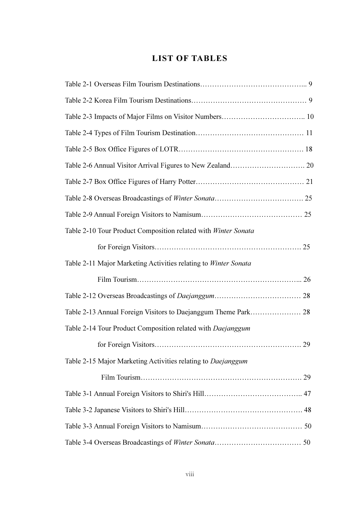## LIST OF TABLES

| Table 2-10 Tour Product Composition related with Winter Sonata  |
|-----------------------------------------------------------------|
|                                                                 |
| Table 2-11 Major Marketing Activities relating to Winter Sonata |
|                                                                 |
|                                                                 |
|                                                                 |
| Table 2-14 Tour Product Composition related with Daejanggum     |
|                                                                 |
| Table 2-15 Major Marketing Activities relating to Daejanggum    |
|                                                                 |
|                                                                 |
|                                                                 |
|                                                                 |
|                                                                 |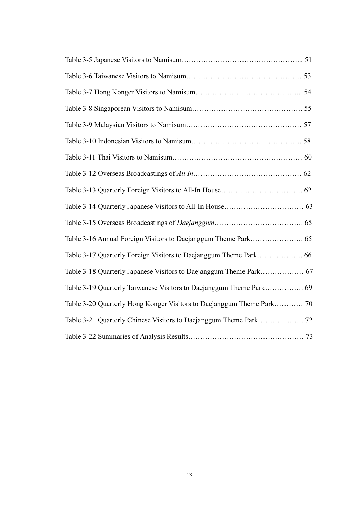| Table 3-19 Quarterly Taiwanese Visitors to Daejanggum Theme Park 69 |
|---------------------------------------------------------------------|
|                                                                     |
|                                                                     |
|                                                                     |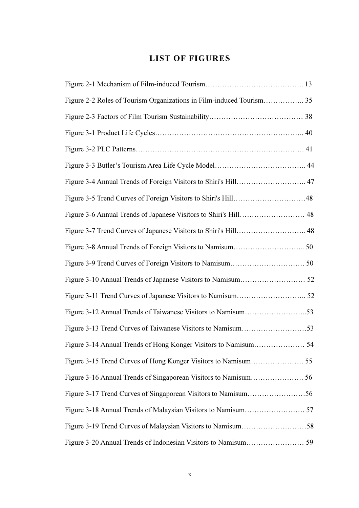# LIST OF FIGURES

| Figure 3-4 Annual Trends of Foreign Visitors to Shiri's Hill 47 |  |
|-----------------------------------------------------------------|--|
|                                                                 |  |
|                                                                 |  |
|                                                                 |  |
|                                                                 |  |
|                                                                 |  |
|                                                                 |  |
|                                                                 |  |
|                                                                 |  |
|                                                                 |  |
|                                                                 |  |
|                                                                 |  |
|                                                                 |  |
|                                                                 |  |
|                                                                 |  |
|                                                                 |  |
|                                                                 |  |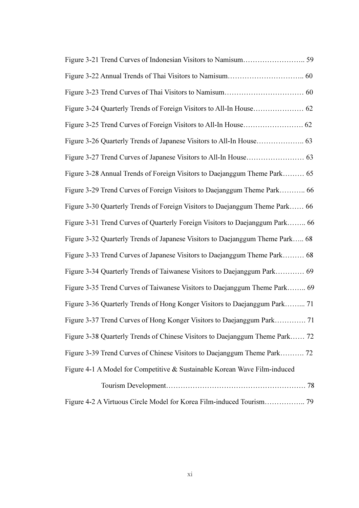| Figure 3-28 Annual Trends of Foreign Visitors to Daejanggum Theme Park 65     |
|-------------------------------------------------------------------------------|
| Figure 3-29 Trend Curves of Foreign Visitors to Daejanggum Theme Park 66      |
| Figure 3-30 Quarterly Trends of Foreign Visitors to Daejanggum Theme Park 66  |
| Figure 3-31 Trend Curves of Quarterly Foreign Visitors to Daejanggum Park 66  |
| Figure 3-32 Quarterly Trends of Japanese Visitors to Daejanggum Theme Park 68 |
| Figure 3-33 Trend Curves of Japanese Visitors to Daejanggum Theme Park 68     |
| Figure 3-34 Quarterly Trends of Taiwanese Visitors to Daejanggum Park 69      |
| Figure 3-35 Trend Curves of Taiwanese Visitors to Daejanggum Theme Park 69    |
| Figure 3-36 Quarterly Trends of Hong Konger Visitors to Daejanggum Park 71    |
|                                                                               |
| Figure 3-38 Quarterly Trends of Chinese Visitors to Daejanggum Theme Park 72  |
| Figure 3-39 Trend Curves of Chinese Visitors to Daejanggum Theme Park 72      |
| Figure 4-1 A Model for Competitive & Sustainable Korean Wave Film-induced     |
|                                                                               |
|                                                                               |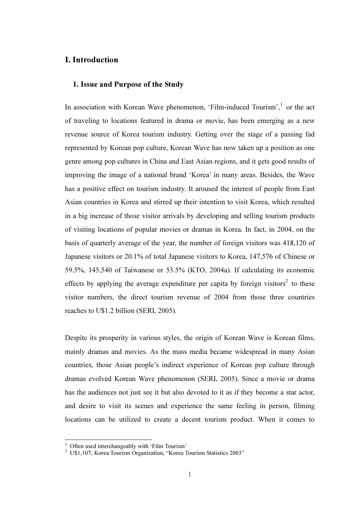## I. Introduction

#### 1. Issue and Purpose of the Study

In association with Korean Wave phenomenon, 'Film-induced Tourism',<sup>1</sup> or the act of traveling to locations featured in drama or movie, has been emerging as a new revenue source of Korea tourism industry. Getting over the stage of a passing fad represented by Korean pop culture, Korean Wave has now taken up a position as one genre among pop cultures in China and East Asian regions, and it gets good results of improving the image of a national brand 'Korea' in many areas. Besides, the Wave has a positive effect on tourism industry. It aroused the interest of people from East Asian countries in Korea and stirred up their intention to visit Korea, which resulted in a big increase of those visitor arrivals by developing and selling tourism products of visiting locations of popular movies or dramas in Korea. In fact, in 2004, on the basis of quarterly average of the year, the number of foreign visitors was 418,120 of Japanese visitors or 20.1% of total Japanese visitors to Korea, 147,576 of Chinese or 59.5%, 145,540 of Taiwanese or 53.5% (KTO, 2004a). If calculating its economic effects by applying the average expenditure per capita by foreign visitors<sup>2</sup> to these visitor numbers, the direct tourism revenue of 2004 from those three countries reaches to U\$1.2 billion (SERI, 2005).

Despite its prosperity in various styles, the origin of Korean Wave is Korean films, mainly dramas and movies. As the mass media became widespread in many Asian countries, those Asian people's indirect experience of Korean pop culture through dramas evolved Korean Wave phenomenon (SERI, 2005). Since a movie or drama has the audiences not just see it but also devoted to it as if they become a star actor, and desire to visit its scenes and experience the same feeling in person, filming locations can be utilized to create a decent tourism product. When it comes to

l.

<sup>1</sup> Often used interchangeably with 'Film Tourism'

<sup>&</sup>lt;sup>2</sup> U\$1,107; Korea Tourism Organization, "Korea Tourism Statistics 2003"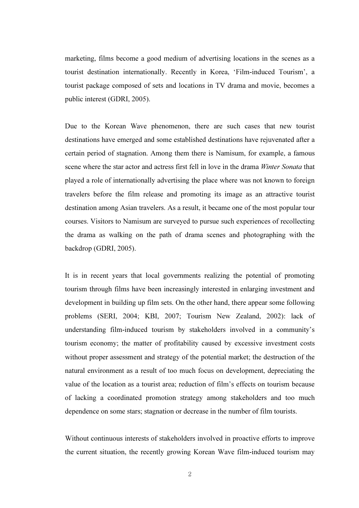marketing, films become a good medium of advertising locations in the scenes as a tourist destination internationally. Recently in Korea, 'Film-induced Tourism', a tourist package composed of sets and locations in TV drama and movie, becomes a public interest (GDRI, 2005).

Due to the Korean Wave phenomenon, there are such cases that new tourist destinations have emerged and some established destinations have rejuvenated after a certain period of stagnation. Among them there is Namisum, for example, a famous scene where the star actor and actress first fell in love in the drama *Winter Sonata* that played a role of internationally advertising the place where was not known to foreign travelers before the film release and promoting its image as an attractive tourist destination among Asian travelers. As a result, it became one of the most popular tour courses. Visitors to Namisum are surveyed to pursue such experiences of recollecting the drama as walking on the path of drama scenes and photographing with the backdrop (GDRI, 2005).

It is in recent years that local governments realizing the potential of promoting tourism through films have been increasingly interested in enlarging investment and development in building up film sets. On the other hand, there appear some following problems (SERI, 2004; KBI, 2007; Tourism New Zealand, 2002): lack of understanding film-induced tourism by stakeholders involved in a community's tourism economy; the matter of profitability caused by excessive investment costs without proper assessment and strategy of the potential market; the destruction of the natural environment as a result of too much focus on development, depreciating the value of the location as a tourist area; reduction of film's effects on tourism because of lacking a coordinated promotion strategy among stakeholders and too much dependence on some stars; stagnation or decrease in the number of film tourists.

Without continuous interests of stakeholders involved in proactive efforts to improve the current situation, the recently growing Korean Wave film-induced tourism may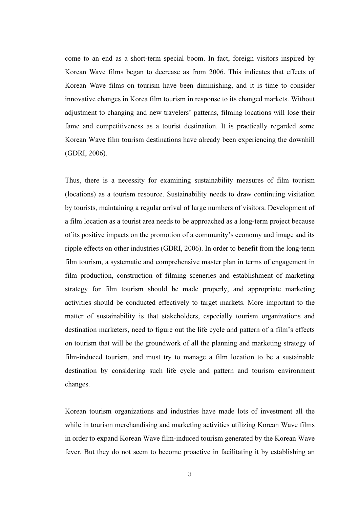come to an end as a short-term special boom. In fact, foreign visitors inspired by Korean Wave films began to decrease as from 2006. This indicates that effects of Korean Wave films on tourism have been diminishing, and it is time to consider innovative changes in Korea film tourism in response to its changed markets. Without adjustment to changing and new travelers' patterns, filming locations will lose their fame and competitiveness as a tourist destination. It is practically regarded some Korean Wave film tourism destinations have already been experiencing the downhill (GDRI, 2006).

Thus, there is a necessity for examining sustainability measures of film tourism (locations) as a tourism resource. Sustainability needs to draw continuing visitation by tourists, maintaining a regular arrival of large numbers of visitors. Development of a film location as a tourist area needs to be approached as a long-term project because of its positive impacts on the promotion of a community's economy and image and its ripple effects on other industries (GDRI, 2006). In order to benefit from the long-term film tourism, a systematic and comprehensive master plan in terms of engagement in film production, construction of filming sceneries and establishment of marketing strategy for film tourism should be made properly, and appropriate marketing activities should be conducted effectively to target markets. More important to the matter of sustainability is that stakeholders, especially tourism organizations and destination marketers, need to figure out the life cycle and pattern of a film's effects on tourism that will be the groundwork of all the planning and marketing strategy of film-induced tourism, and must try to manage a film location to be a sustainable destination by considering such life cycle and pattern and tourism environment changes.

Korean tourism organizations and industries have made lots of investment all the while in tourism merchandising and marketing activities utilizing Korean Wave films in order to expand Korean Wave film-induced tourism generated by the Korean Wave fever. But they do not seem to become proactive in facilitating it by establishing an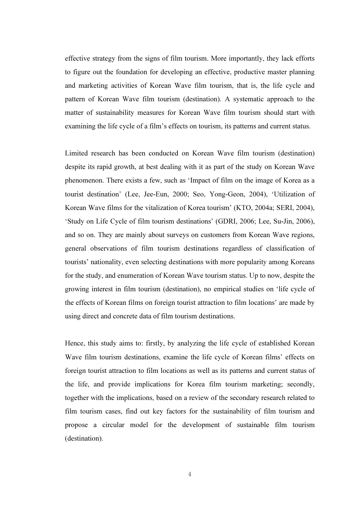effective strategy from the signs of film tourism. More importantly, they lack efforts to figure out the foundation for developing an effective, productive master planning and marketing activities of Korean Wave film tourism, that is, the life cycle and pattern of Korean Wave film tourism (destination). A systematic approach to the matter of sustainability measures for Korean Wave film tourism should start with examining the life cycle of a film's effects on tourism, its patterns and current status.

Limited research has been conducted on Korean Wave film tourism (destination) despite its rapid growth, at best dealing with it as part of the study on Korean Wave phenomenon. There exists a few, such as 'Impact of film on the image of Korea as a tourist destination' (Lee, Jee-Eun, 2000; Seo, Yong-Geon, 2004), 'Utilization of Korean Wave films for the vitalization of Korea tourism' (KTO, 2004a; SERI, 2004), 'Study on Life Cycle of film tourism destinations' (GDRI, 2006; Lee, Su-Jin, 2006), and so on. They are mainly about surveys on customers from Korean Wave regions, general observations of film tourism destinations regardless of classification of tourists' nationality, even selecting destinations with more popularity among Koreans for the study, and enumeration of Korean Wave tourism status. Up to now, despite the growing interest in film tourism (destination), no empirical studies on 'life cycle of the effects of Korean films on foreign tourist attraction to film locations' are made by using direct and concrete data of film tourism destinations.

Hence, this study aims to: firstly, by analyzing the life cycle of established Korean Wave film tourism destinations, examine the life cycle of Korean films' effects on foreign tourist attraction to film locations as well as its patterns and current status of the life, and provide implications for Korea film tourism marketing; secondly, together with the implications, based on a review of the secondary research related to film tourism cases, find out key factors for the sustainability of film tourism and propose a circular model for the development of sustainable film tourism (destination).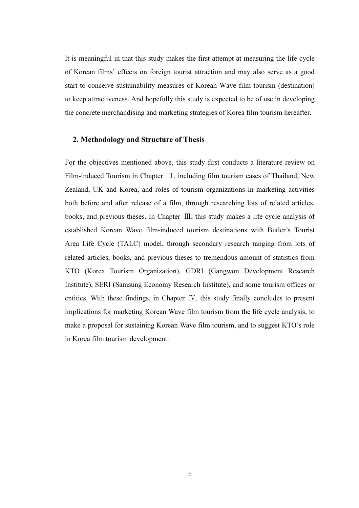It is meaningful in that this study makes the first attempt at measuring the life cycle of Korean films' effects on foreign tourist attraction and may also serve as a good start to conceive sustainability measures of Korean Wave film tourism (destination) to keep attractiveness. And hopefully this study is expected to be of use in developing the concrete merchandising and marketing strategies of Korea film tourism hereafter.

#### 2. Methodology and Structure of Thesis

For the objectives mentioned above, this study first conducts a literature review on Film-induced Tourism in Chapter Ⅱ, including film tourism cases of Thailand, New Zealand, UK and Korea, and roles of tourism organizations in marketing activities both before and after release of a film, through researching lots of related articles, books, and previous theses. In Chapter Ⅲ, this study makes a life cycle analysis of established Korean Wave film-induced tourism destinations with Butler's Tourist Area Life Cycle (TALC) model, through secondary research ranging from lots of related articles, books, and previous theses to tremendous amount of statistics from KTO (Korea Tourism Organization), GDRI (Gangwon Development Research Institute), SERI (Samsung Economy Research Institute), and some tourism offices or entities. With these findings, in Chapter Ⅳ, this study finally concludes to present implications for marketing Korean Wave film tourism from the life cycle analysis, to make a proposal for sustaining Korean Wave film tourism, and to suggest KTO's role in Korea film tourism development.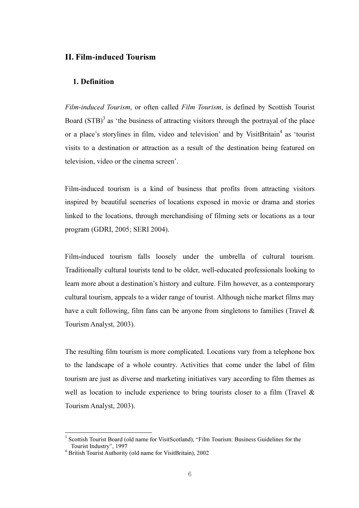## II. Film-induced Tourism

#### 1. Definition

Film-induced Tourism, or often called Film Tourism, is defined by Scottish Tourist Board  $(STB)^3$  as 'the business of attracting visitors through the portrayal of the place or a place's storylines in film, video and television' and by VisitBritain<sup>4</sup> as 'tourist visits to a destination or attraction as a result of the destination being featured on television, video or the cinema screen'.

Film-induced tourism is a kind of business that profits from attracting visitors inspired by beautiful sceneries of locations exposed in movie or drama and stories linked to the locations, through merchandising of filming sets or locations as a tour program (GDRI, 2005; SERI 2004).

Film-induced tourism falls loosely under the umbrella of cultural tourism. Traditionally cultural tourists tend to be older, well-educated professionals looking to learn more about a destination's history and culture. Film however, as a contemporary cultural tourism, appeals to a wider range of tourist. Although niche market films may have a cult following, film fans can be anyone from singletons to families (Travel & Tourism Analyst, 2003).

The resulting film tourism is more complicated. Locations vary from a telephone box to the landscape of a whole country. Activities that come under the label of film tourism are just as diverse and marketing initiatives vary according to film themes as well as location to include experience to bring tourists closer to a film (Travel & Tourism Analyst, 2003).

l.

<sup>3</sup>  Scottish Tourist Board (old name for VisitScotland), "Film Tourism: Business Guidelines for the Tourist Industry", 1997

<sup>4</sup> British Tourist Authority (old name for VisitBritain), 2002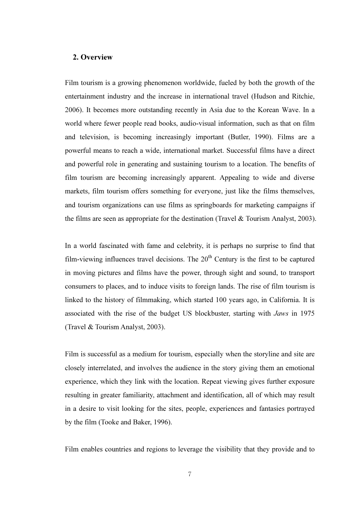### 2. Overview

Film tourism is a growing phenomenon worldwide, fueled by both the growth of the entertainment industry and the increase in international travel (Hudson and Ritchie, 2006). It becomes more outstanding recently in Asia due to the Korean Wave. In a world where fewer people read books, audio-visual information, such as that on film and television, is becoming increasingly important (Butler, 1990). Films are a powerful means to reach a wide, international market. Successful films have a direct and powerful role in generating and sustaining tourism to a location. The benefits of film tourism are becoming increasingly apparent. Appealing to wide and diverse markets, film tourism offers something for everyone, just like the films themselves, and tourism organizations can use films as springboards for marketing campaigns if the films are seen as appropriate for the destination (Travel & Tourism Analyst, 2003).

In a world fascinated with fame and celebrity, it is perhaps no surprise to find that film-viewing influences travel decisions. The  $20<sup>th</sup>$  Century is the first to be captured in moving pictures and films have the power, through sight and sound, to transport consumers to places, and to induce visits to foreign lands. The rise of film tourism is linked to the history of filmmaking, which started 100 years ago, in California. It is associated with the rise of the budget US blockbuster, starting with Jaws in 1975 (Travel & Tourism Analyst, 2003).

Film is successful as a medium for tourism, especially when the storyline and site are closely interrelated, and involves the audience in the story giving them an emotional experience, which they link with the location. Repeat viewing gives further exposure resulting in greater familiarity, attachment and identification, all of which may result in a desire to visit looking for the sites, people, experiences and fantasies portrayed by the film (Tooke and Baker, 1996).

Film enables countries and regions to leverage the visibility that they provide and to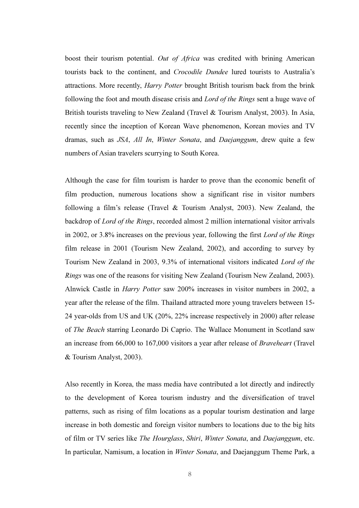boost their tourism potential. Out of Africa was credited with brining American tourists back to the continent, and Crocodile Dundee lured tourists to Australia's attractions. More recently, Harry Potter brought British tourism back from the brink following the foot and mouth disease crisis and Lord of the Rings sent a huge wave of British tourists traveling to New Zealand (Travel & Tourism Analyst, 2003). In Asia, recently since the inception of Korean Wave phenomenon, Korean movies and TV dramas, such as JSA, All In, Winter Sonata, and Daejanggum, drew quite a few numbers of Asian travelers scurrying to South Korea.

Although the case for film tourism is harder to prove than the economic benefit of film production, numerous locations show a significant rise in visitor numbers following a film's release (Travel & Tourism Analyst, 2003). New Zealand, the backdrop of Lord of the Rings, recorded almost 2 million international visitor arrivals in 2002, or 3.8% increases on the previous year, following the first Lord of the Rings film release in 2001 (Tourism New Zealand, 2002), and according to survey by Tourism New Zealand in 2003, 9.3% of international visitors indicated Lord of the Rings was one of the reasons for visiting New Zealand (Tourism New Zealand, 2003). Alnwick Castle in Harry Potter saw 200% increases in visitor numbers in 2002, a year after the release of the film. Thailand attracted more young travelers between 15- 24 year-olds from US and UK (20%, 22% increase respectively in 2000) after release of The Beach starring Leonardo Di Caprio. The Wallace Monument in Scotland saw an increase from 66,000 to 167,000 visitors a year after release of Braveheart (Travel & Tourism Analyst, 2003).

Also recently in Korea, the mass media have contributed a lot directly and indirectly to the development of Korea tourism industry and the diversification of travel patterns, such as rising of film locations as a popular tourism destination and large increase in both domestic and foreign visitor numbers to locations due to the big hits of film or TV series like The Hourglass, Shiri, Winter Sonata, and Daejanggum, etc. In particular, Namisum, a location in Winter Sonata, and Daejanggum Theme Park, a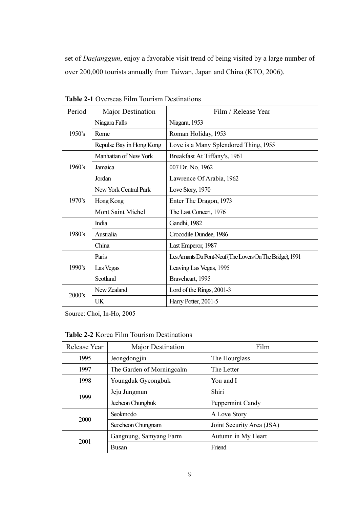set of Daejanggum, enjoy a favorable visit trend of being visited by a large number of over 200,000 tourists annually from Taiwan, Japan and China (KTO, 2006).

| Period | Major Destination        | Film / Release Year                                      |  |  |
|--------|--------------------------|----------------------------------------------------------|--|--|
| 1950's | Niagara Falls            | Niagara, 1953                                            |  |  |
|        | Rome                     | Roman Holiday, 1953                                      |  |  |
|        | Repulse Bay in Hong Kong | Love is a Many Splendored Thing, 1955                    |  |  |
|        | Manhattan of New York    | Breakfast At Tiffany's, 1961                             |  |  |
| 1960's | Jamaica                  | 007 Dr. No, 1962                                         |  |  |
|        | Jordan                   | Lawrence Of Arabia, 1962                                 |  |  |
| 1970's | New York Central Park    | Love Story, 1970                                         |  |  |
|        | Hong Kong                | Enter The Dragon, 1973                                   |  |  |
|        | <b>Mont Saint Michel</b> | The Last Concert, 1976                                   |  |  |
|        | India                    | Gandhi, 1982                                             |  |  |
| 1980's | Australia                | Crocodile Dundee, 1986                                   |  |  |
|        | China                    | Last Emperor, 1987                                       |  |  |
|        | Paris                    | Les Amants Du Pont-Neuf (The Lovers On The Bridge), 1991 |  |  |
| 1990's | Las Vegas                | Leaving Las Vegas, 1995                                  |  |  |
|        | Scotland                 | Braveheart, 1995                                         |  |  |
| 2000's | New Zealand              | Lord of the Rings, 2001-3                                |  |  |
|        | UK                       | Harry Potter, 2001-5                                     |  |  |

Table 2-1 Overseas Film Tourism Destinations

Source: Choi, In-Ho, 2005

| <b>Table 2-2</b> Korea Film Tourism Destinations |  |  |  |
|--------------------------------------------------|--|--|--|
|--------------------------------------------------|--|--|--|

| Release Year | Major Destination         | Film                      |  |
|--------------|---------------------------|---------------------------|--|
| 1995         | Jeongdongjin              | The Hourglass             |  |
| 1997         | The Garden of Morningcalm | The Letter                |  |
| 1998         | Youngduk Gyeongbuk        | You and I                 |  |
| 1999         | Jeju Jungmun              | Shiri                     |  |
|              | Jecheon Chungbuk          | Peppermint Candy          |  |
| 2000         | Seokmodo                  | A Love Story              |  |
|              | Seocheon Chungnam         | Joint Security Area (JSA) |  |
| 2001         | Gangnung, Samyang Farm    | Autumn in My Heart        |  |
|              | Busan                     | Friend                    |  |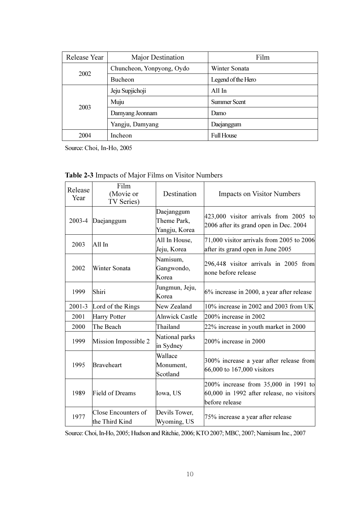| Release Year | Major Destination         | Film                |  |
|--------------|---------------------------|---------------------|--|
|              | Chuncheon, Yonpyong, Oydo | Winter Sonata       |  |
| 2002         | <b>Bucheon</b>            | Legend of the Hero  |  |
| 2003         | Jeju Supjichoji           | All In              |  |
|              | Muju                      | <b>Summer Scent</b> |  |
|              | Damyang Jeonnam           | Damo                |  |
|              | Yangju, Damyang           | Daejanggum          |  |
| 2004         | <b>Incheon</b>            | <b>Full House</b>   |  |

Source: Choi, In-Ho, 2005

| Release<br>Year | Film<br>(Movie or<br>TV Series)       | Destination                                | <b>Impacts on Visitor Numbers</b>                                                                   |  |
|-----------------|---------------------------------------|--------------------------------------------|-----------------------------------------------------------------------------------------------------|--|
| 2003-4          | Daejanggum                            | Daejanggum<br>Theme Park,<br>Yangju, Korea | 423,000 visitor arrivals from 2005 to<br>2006 after its grand open in Dec. 2004                     |  |
| 2003            | All In                                | All In House,<br>Jeju, Korea               | 71,000 visitor arrivals from 2005 to 2006<br>after its grand open in June 2005                      |  |
| 2002            | Winter Sonata                         | Namisum,<br>Gangwondo,<br>Korea            | 296,448 visitor arrivals in 2005 from<br>none before release                                        |  |
| 1999            | Shiri                                 | Jungmun, Jeju,<br>Korea                    | 6% increase in 2000, a year after release                                                           |  |
| $2001 - 3$      | Lord of the Rings                     | New Zealand                                | 10% increase in 2002 and 2003 from UK                                                               |  |
| 2001            | <b>Harry Potter</b>                   | <b>Alnwick Castle</b>                      | 200% increase in 2002                                                                               |  |
| 2000            | The Beach                             | Thailand                                   | 22% increase in youth market in 2000                                                                |  |
| 1999            | Mission Impossible 2                  | National parks<br>in Sydney                | 200% increase in 2000                                                                               |  |
| 1995            | Braveheart                            | Wallace<br>Monument,<br>Scotland           | 300% increase a year after release from<br>66,000 to 167,000 visitors                               |  |
| 1989            | <b>Field of Dreams</b>                | Iowa, US                                   | 200% increase from 35,000 in 1991 to<br>60,000 in 1992 after release, no visitors<br>before release |  |
| 1977            | Close Encounters of<br>the Third Kind | Devils Tower,<br>Wyoming, US               | 75% increase a year after release                                                                   |  |

|  |  | <b>Table 2-3</b> Impacts of Major Films on Visitor Numbers |
|--|--|------------------------------------------------------------|
|  |  |                                                            |

Source: Choi, In-Ho, 2005; Hudson and Ritchie, 2006; KTO 2007; MBC, 2007; Namisum Inc., 2007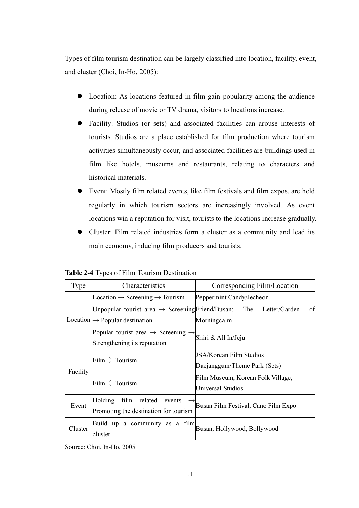Types of film tourism destination can be largely classified into location, facility, event, and cluster (Choi, In-Ho, 2005):

- Location: As locations featured in film gain popularity among the audience during release of movie or TV drama, visitors to locations increase.
- Facility: Studios (or sets) and associated facilities can arouse interests of tourists. Studios are a place established for film production where tourism activities simultaneously occur, and associated facilities are buildings used in film like hotels, museums and restaurants, relating to characters and historical materials.
- Event: Mostly film related events, like film festivals and film expos, are held regularly in which tourism sectors are increasingly involved. As event locations win a reputation for visit, tourists to the locations increase gradually.
- Cluster: Film related industries form a cluster as a community and lead its main economy, inducing film producers and tourists.

| <b>Type</b> | Characteristics                                                                            | Corresponding Film/Location                                    |  |  |  |
|-------------|--------------------------------------------------------------------------------------------|----------------------------------------------------------------|--|--|--|
|             | Location $\rightarrow$ Screening $\rightarrow$ Tourism                                     | Peppermint Candy/Jecheon                                       |  |  |  |
|             | Unpopular tourist area $\rightarrow$ Screening Friend/Busan;                               | The Letter/Garden<br>of                                        |  |  |  |
|             | Location $\rightarrow$ Popular destination                                                 | Morningcalm                                                    |  |  |  |
|             | Popular tourist area $\rightarrow$ Screening $\rightarrow$<br>Strengthening its reputation | Shiri & All In/Jeju                                            |  |  |  |
|             | Film $\sum$ Tourism                                                                        | <b>JSA/Korean Film Studios</b><br>Daejanggum/Theme Park (Sets) |  |  |  |
| Facility    | Film $\langle$ Tourism                                                                     | Film Museum, Korean Folk Village,<br>Universal Studios         |  |  |  |
| Event       | film<br>related events<br><b>Holding</b><br>Promoting the destination for tourism          | Busan Film Festival, Cane Film Expo                            |  |  |  |
| Cluster     | Build up a community as a film<br>cluster                                                  | Busan, Hollywood, Bollywood                                    |  |  |  |

Table 2-4 Types of Film Tourism Destination

Source: Choi, In-Ho, 2005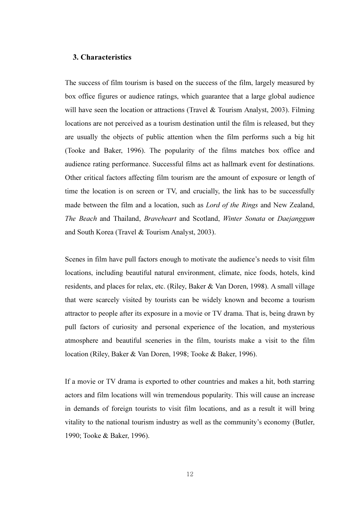### 3. Characteristics

The success of film tourism is based on the success of the film, largely measured by box office figures or audience ratings, which guarantee that a large global audience will have seen the location or attractions (Travel & Tourism Analyst, 2003). Filming locations are not perceived as a tourism destination until the film is released, but they are usually the objects of public attention when the film performs such a big hit (Tooke and Baker, 1996). The popularity of the films matches box office and audience rating performance. Successful films act as hallmark event for destinations. Other critical factors affecting film tourism are the amount of exposure or length of time the location is on screen or TV, and crucially, the link has to be successfully made between the film and a location, such as Lord of the Rings and New Zealand, The Beach and Thailand, Braveheart and Scotland, Winter Sonata or Daejanggum and South Korea (Travel & Tourism Analyst, 2003).

Scenes in film have pull factors enough to motivate the audience's needs to visit film locations, including beautiful natural environment, climate, nice foods, hotels, kind residents, and places for relax, etc. (Riley, Baker & Van Doren, 1998). A small village that were scarcely visited by tourists can be widely known and become a tourism attractor to people after its exposure in a movie or TV drama. That is, being drawn by pull factors of curiosity and personal experience of the location, and mysterious atmosphere and beautiful sceneries in the film, tourists make a visit to the film location (Riley, Baker & Van Doren, 1998; Tooke & Baker, 1996).

If a movie or TV drama is exported to other countries and makes a hit, both starring actors and film locations will win tremendous popularity. This will cause an increase in demands of foreign tourists to visit film locations, and as a result it will bring vitality to the national tourism industry as well as the community's economy (Butler, 1990; Tooke & Baker, 1996).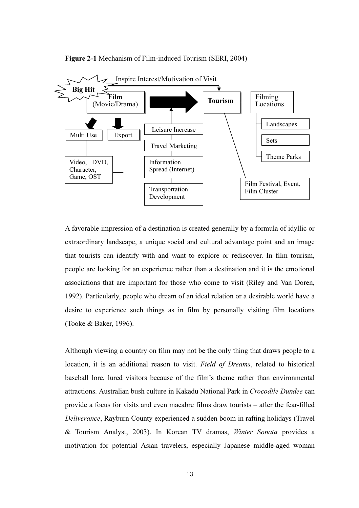

Figure 2-1 Mechanism of Film-induced Tourism (SERI, 2004)

A favorable impression of a destination is created generally by a formula of idyllic or extraordinary landscape, a unique social and cultural advantage point and an image that tourists can identify with and want to explore or rediscover. In film tourism, people are looking for an experience rather than a destination and it is the emotional associations that are important for those who come to visit (Riley and Van Doren, 1992). Particularly, people who dream of an ideal relation or a desirable world have a desire to experience such things as in film by personally visiting film locations (Tooke & Baker, 1996).

Although viewing a country on film may not be the only thing that draws people to a location, it is an additional reason to visit. Field of Dreams, related to historical baseball lore, lured visitors because of the film's theme rather than environmental attractions. Australian bush culture in Kakadu National Park in Crocodile Dundee can provide a focus for visits and even macabre films draw tourists – after the fear-filled Deliverance, Rayburn County experienced a sudden boom in rafting holidays (Travel & Tourism Analyst, 2003). In Korean TV dramas, Winter Sonata provides a motivation for potential Asian travelers, especially Japanese middle-aged woman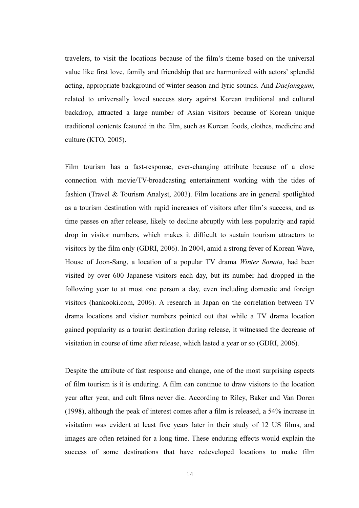travelers, to visit the locations because of the film's theme based on the universal value like first love, family and friendship that are harmonized with actors' splendid acting, appropriate background of winter season and lyric sounds. And Daejanggum, related to universally loved success story against Korean traditional and cultural backdrop, attracted a large number of Asian visitors because of Korean unique traditional contents featured in the film, such as Korean foods, clothes, medicine and culture (KTO, 2005).

Film tourism has a fast-response, ever-changing attribute because of a close connection with movie/TV-broadcasting entertainment working with the tides of fashion (Travel & Tourism Analyst, 2003). Film locations are in general spotlighted as a tourism destination with rapid increases of visitors after film's success, and as time passes on after release, likely to decline abruptly with less popularity and rapid drop in visitor numbers, which makes it difficult to sustain tourism attractors to visitors by the film only (GDRI, 2006). In 2004, amid a strong fever of Korean Wave, House of Joon-Sang, a location of a popular TV drama *Winter Sonata*, had been visited by over 600 Japanese visitors each day, but its number had dropped in the following year to at most one person a day, even including domestic and foreign visitors (hankooki.com, 2006). A research in Japan on the correlation between TV drama locations and visitor numbers pointed out that while a TV drama location gained popularity as a tourist destination during release, it witnessed the decrease of visitation in course of time after release, which lasted a year or so (GDRI, 2006).

Despite the attribute of fast response and change, one of the most surprising aspects of film tourism is it is enduring. A film can continue to draw visitors to the location year after year, and cult films never die. According to Riley, Baker and Van Doren (1998), although the peak of interest comes after a film is released, a 54% increase in visitation was evident at least five years later in their study of 12 US films, and images are often retained for a long time. These enduring effects would explain the success of some destinations that have redeveloped locations to make film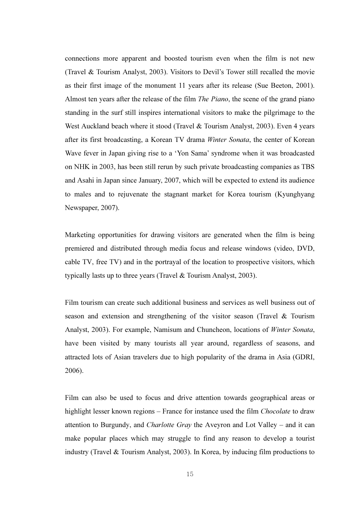connections more apparent and boosted tourism even when the film is not new (Travel & Tourism Analyst, 2003). Visitors to Devil's Tower still recalled the movie as their first image of the monument 11 years after its release (Sue Beeton, 2001). Almost ten years after the release of the film The Piano, the scene of the grand piano standing in the surf still inspires international visitors to make the pilgrimage to the West Auckland beach where it stood (Travel & Tourism Analyst, 2003). Even 4 years after its first broadcasting, a Korean TV drama Winter Sonata, the center of Korean Wave fever in Japan giving rise to a 'Yon Sama' syndrome when it was broadcasted on NHK in 2003, has been still rerun by such private broadcasting companies as TBS and Asahi in Japan since January, 2007, which will be expected to extend its audience to males and to rejuvenate the stagnant market for Korea tourism (Kyunghyang Newspaper, 2007).

Marketing opportunities for drawing visitors are generated when the film is being premiered and distributed through media focus and release windows (video, DVD, cable TV, free TV) and in the portrayal of the location to prospective visitors, which typically lasts up to three years (Travel & Tourism Analyst, 2003).

Film tourism can create such additional business and services as well business out of season and extension and strengthening of the visitor season (Travel & Tourism Analyst, 2003). For example, Namisum and Chuncheon, locations of Winter Sonata, have been visited by many tourists all year around, regardless of seasons, and attracted lots of Asian travelers due to high popularity of the drama in Asia (GDRI, 2006).

Film can also be used to focus and drive attention towards geographical areas or highlight lesser known regions – France for instance used the film *Chocolate* to draw attention to Burgundy, and Charlotte Gray the Aveyron and Lot Valley – and it can make popular places which may struggle to find any reason to develop a tourist industry (Travel & Tourism Analyst, 2003). In Korea, by inducing film productions to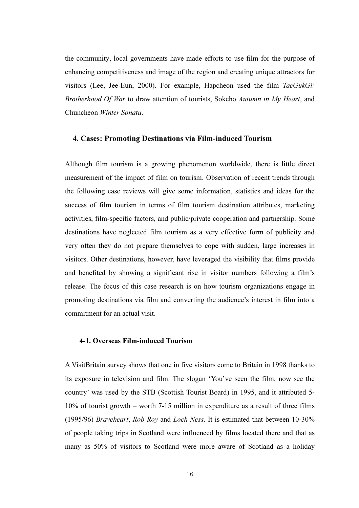the community, local governments have made efforts to use film for the purpose of enhancing competitiveness and image of the region and creating unique attractors for visitors (Lee, Jee-Eun, 2000). For example, Hapcheon used the film TaeGukGi: Brotherhood Of War to draw attention of tourists, Sokcho Autumn in My Heart, and Chuncheon Winter Sonata.

#### 4. Cases: Promoting Destinations via Film-induced Tourism

Although film tourism is a growing phenomenon worldwide, there is little direct measurement of the impact of film on tourism. Observation of recent trends through the following case reviews will give some information, statistics and ideas for the success of film tourism in terms of film tourism destination attributes, marketing activities, film-specific factors, and public/private cooperation and partnership. Some destinations have neglected film tourism as a very effective form of publicity and very often they do not prepare themselves to cope with sudden, large increases in visitors. Other destinations, however, have leveraged the visibility that films provide and benefited by showing a significant rise in visitor numbers following a film's release. The focus of this case research is on how tourism organizations engage in promoting destinations via film and converting the audience's interest in film into a commitment for an actual visit.

#### 4-1. Overseas Film-induced Tourism

A VisitBritain survey shows that one in five visitors come to Britain in 1998 thanks to its exposure in television and film. The slogan 'You've seen the film, now see the country' was used by the STB (Scottish Tourist Board) in 1995, and it attributed 5- 10% of tourist growth – worth 7-15 million in expenditure as a result of three films (1995/96) Braveheart, Rob Roy and Loch Ness. It is estimated that between 10-30% of people taking trips in Scotland were influenced by films located there and that as many as 50% of visitors to Scotland were more aware of Scotland as a holiday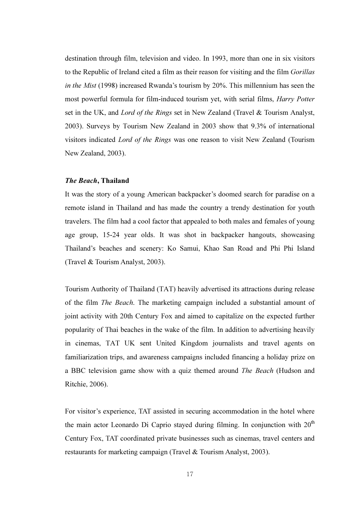destination through film, television and video. In 1993, more than one in six visitors to the Republic of Ireland cited a film as their reason for visiting and the film Gorillas in the Mist (1998) increased Rwanda's tourism by 20%. This millennium has seen the most powerful formula for film-induced tourism yet, with serial films, Harry Potter set in the UK, and *Lord of the Rings* set in New Zealand (Travel & Tourism Analyst, 2003). Surveys by Tourism New Zealand in 2003 show that 9.3% of international visitors indicated Lord of the Rings was one reason to visit New Zealand (Tourism New Zealand, 2003).

#### The Beach, Thailand

It was the story of a young American backpacker's doomed search for paradise on a remote island in Thailand and has made the country a trendy destination for youth travelers. The film had a cool factor that appealed to both males and females of young age group, 15-24 year olds. It was shot in backpacker hangouts, showcasing Thailand's beaches and scenery: Ko Samui, Khao San Road and Phi Phi Island (Travel & Tourism Analyst, 2003).

Tourism Authority of Thailand (TAT) heavily advertised its attractions during release of the film The Beach. The marketing campaign included a substantial amount of joint activity with 20th Century Fox and aimed to capitalize on the expected further popularity of Thai beaches in the wake of the film. In addition to advertising heavily in cinemas, TAT UK sent United Kingdom journalists and travel agents on familiarization trips, and awareness campaigns included financing a holiday prize on a BBC television game show with a quiz themed around The Beach (Hudson and Ritchie, 2006).

For visitor's experience, TAT assisted in securing accommodation in the hotel where the main actor Leonardo Di Caprio stayed during filming. In conjunction with  $20<sup>th</sup>$ Century Fox, TAT coordinated private businesses such as cinemas, travel centers and restaurants for marketing campaign (Travel & Tourism Analyst, 2003).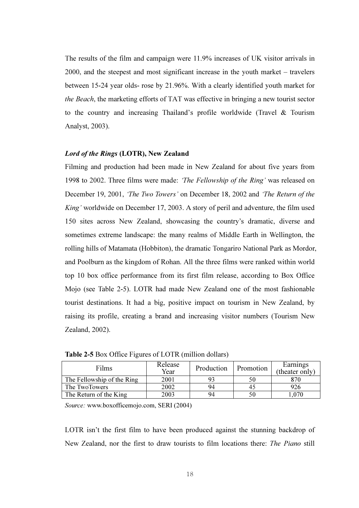The results of the film and campaign were 11.9% increases of UK visitor arrivals in 2000, and the steepest and most significant increase in the youth market – travelers between 15-24 year olds- rose by 21.96%. With a clearly identified youth market for the Beach, the marketing efforts of TAT was effective in bringing a new tourist sector to the country and increasing Thailand's profile worldwide (Travel & Tourism Analyst, 2003).

#### Lord of the Rings (LOTR), New Zealand

Filming and production had been made in New Zealand for about five years from 1998 to 2002. Three films were made: 'The Fellowship of the Ring' was released on December 19, 2001, 'The Two Towers' on December 18, 2002 and 'The Return of the King' worldwide on December 17, 2003. A story of peril and adventure, the film used 150 sites across New Zealand, showcasing the country's dramatic, diverse and sometimes extreme landscape: the many realms of Middle Earth in Wellington, the rolling hills of Matamata (Hobbiton), the dramatic Tongariro National Park as Mordor, and Poolburn as the kingdom of Rohan. All the three films were ranked within world top 10 box office performance from its first film release, according to Box Office Mojo (see Table 2-5). LOTR had made New Zealand one of the most fashionable tourist destinations. It had a big, positive impact on tourism in New Zealand, by raising its profile, creating a brand and increasing visitor numbers (Tourism New Zealand, 2002).

| Films                      | Release<br>Year | Production | Promotion | Earnings<br>(theater only) |
|----------------------------|-----------------|------------|-----------|----------------------------|
| The Fellowship of the Ring | 2001            |            | 50        | 870                        |
| The TwoTowers              | 2002            | 94         | 40        | 926                        |
| The Return of the King     | 2003            | 94         |           | .070                       |

Table 2-5 Box Office Figures of LOTR (million dollars)

Source: www.boxofficemojo.com, SERI (2004)

LOTR isn't the first film to have been produced against the stunning backdrop of New Zealand, nor the first to draw tourists to film locations there: The Piano still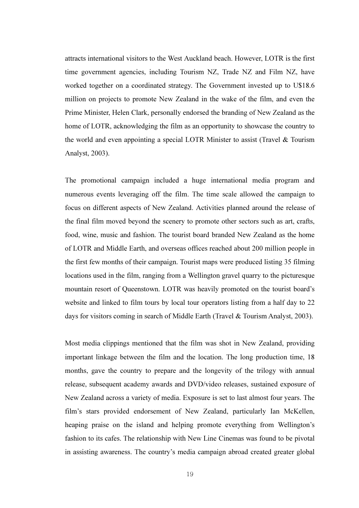attracts international visitors to the West Auckland beach. However, LOTR is the first time government agencies, including Tourism NZ, Trade NZ and Film NZ, have worked together on a coordinated strategy. The Government invested up to U\$18.6 million on projects to promote New Zealand in the wake of the film, and even the Prime Minister, Helen Clark, personally endorsed the branding of New Zealand as the home of LOTR, acknowledging the film as an opportunity to showcase the country to the world and even appointing a special LOTR Minister to assist (Travel & Tourism Analyst, 2003).

The promotional campaign included a huge international media program and numerous events leveraging off the film. The time scale allowed the campaign to focus on different aspects of New Zealand. Activities planned around the release of the final film moved beyond the scenery to promote other sectors such as art, crafts, food, wine, music and fashion. The tourist board branded New Zealand as the home of LOTR and Middle Earth, and overseas offices reached about 200 million people in the first few months of their campaign. Tourist maps were produced listing 35 filming locations used in the film, ranging from a Wellington gravel quarry to the picturesque mountain resort of Queenstown. LOTR was heavily promoted on the tourist board's website and linked to film tours by local tour operators listing from a half day to 22 days for visitors coming in search of Middle Earth (Travel & Tourism Analyst, 2003).

Most media clippings mentioned that the film was shot in New Zealand, providing important linkage between the film and the location. The long production time, 18 months, gave the country to prepare and the longevity of the trilogy with annual release, subsequent academy awards and DVD/video releases, sustained exposure of New Zealand across a variety of media. Exposure is set to last almost four years. The film's stars provided endorsement of New Zealand, particularly Ian McKellen, heaping praise on the island and helping promote everything from Wellington's fashion to its cafes. The relationship with New Line Cinemas was found to be pivotal in assisting awareness. The country's media campaign abroad created greater global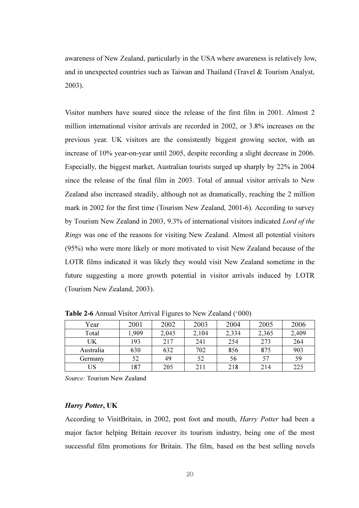awareness of New Zealand, particularly in the USA where awareness is relatively low, and in unexpected countries such as Taiwan and Thailand (Travel & Tourism Analyst, 2003).

Visitor numbers have soared since the release of the first film in 2001. Almost 2 million international visitor arrivals are recorded in 2002, or 3.8% increases on the previous year. UK visitors are the consistently biggest growing sector, with an increase of 10% year-on-year until 2005, despite recording a slight decrease in 2006. Especially, the biggest market, Australian tourists surged up sharply by 22% in 2004 since the release of the final film in 2003. Total of annual visitor arrivals to New Zealand also increased steadily, although not as dramatically, reaching the 2 million mark in 2002 for the first time (Tourism New Zealand, 2001-6). According to survey by Tourism New Zealand in 2003, 9.3% of international visitors indicated Lord of the Rings was one of the reasons for visiting New Zealand. Almost all potential visitors (95%) who were more likely or more motivated to visit New Zealand because of the LOTR films indicated it was likely they would visit New Zealand sometime in the future suggesting a more growth potential in visitor arrivals induced by LOTR (Tourism New Zealand, 2003).

| Year      | 2001  | 2002  | 2003  | 2004  | 2005  | 2006  |
|-----------|-------|-------|-------|-------|-------|-------|
| Total     | l,909 | 2,045 | 2,104 | 2,334 | 2,365 | 2,409 |
| UK        | 193   | 217   | 241   | 254   | 273   | 264   |
| Australia | 630   | 632   | 702   | 856   | 875   | 903   |
| Germany   | 52    | 49    | 52    | 56    | 57    | 59    |
| US        | 187   | 205   | 211   | 218   | 214   | 225   |

Table 2-6 Annual Visitor Arrival Figures to New Zealand ('000)

Source: Tourism New Zealand

#### Harry Potter, UK

According to VisitBritain, in 2002, post foot and mouth, Harry Potter had been a major factor helping Britain recover its tourism industry, being one of the most successful film promotions for Britain. The film, based on the best selling novels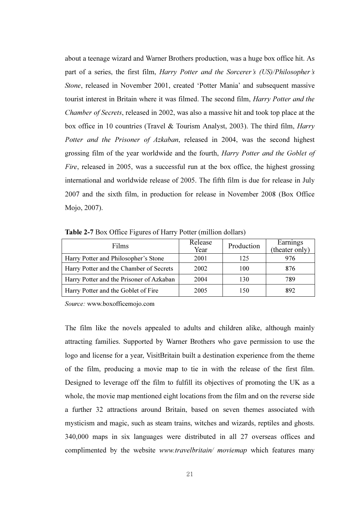about a teenage wizard and Warner Brothers production, was a huge box office hit. As part of a series, the first film, Harry Potter and the Sorcerer's (US)/Philosopher's Stone, released in November 2001, created 'Potter Mania' and subsequent massive tourist interest in Britain where it was filmed. The second film, Harry Potter and the Chamber of Secrets, released in 2002, was also a massive hit and took top place at the box office in 10 countries (Travel & Tourism Analyst, 2003). The third film, Harry Potter and the Prisoner of Azkaban, released in 2004, was the second highest grossing film of the year worldwide and the fourth, Harry Potter and the Goblet of Fire, released in 2005, was a successful run at the box office, the highest grossing international and worldwide release of 2005. The fifth film is due for release in July 2007 and the sixth film, in production for release in November 2008 (Box Office Mojo, 2007).

| Films                                    | Release<br>Year | Production | Earnings<br>(theater only) |
|------------------------------------------|-----------------|------------|----------------------------|
| Harry Potter and Philosopher's Stone     | 2001            | 125        | 976                        |
| Harry Potter and the Chamber of Secrets  | 2002            | 100        | 876                        |
| Harry Potter and the Prisoner of Azkaban | 2004            | 130        | 789                        |
| Harry Potter and the Goblet of Fire      | 2005            | 150        | 892                        |

Table 2-7 Box Office Figures of Harry Potter (million dollars)

Source: www.boxofficemojo.com

The film like the novels appealed to adults and children alike, although mainly attracting families. Supported by Warner Brothers who gave permission to use the logo and license for a year, VisitBritain built a destination experience from the theme of the film, producing a movie map to tie in with the release of the first film. Designed to leverage off the film to fulfill its objectives of promoting the UK as a whole, the movie map mentioned eight locations from the film and on the reverse side a further 32 attractions around Britain, based on seven themes associated with mysticism and magic, such as steam trains, witches and wizards, reptiles and ghosts. 340,000 maps in six languages were distributed in all 27 overseas offices and complimented by the website www.travelbritain/ moviemap which features many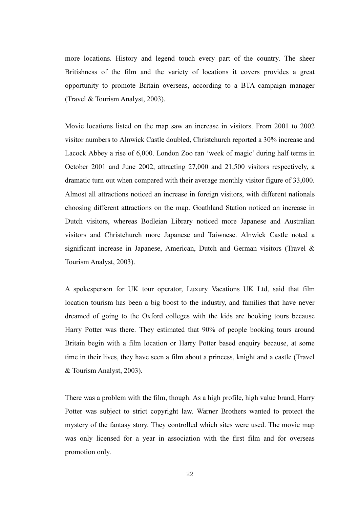more locations. History and legend touch every part of the country. The sheer Britishness of the film and the variety of locations it covers provides a great opportunity to promote Britain overseas, according to a BTA campaign manager (Travel & Tourism Analyst, 2003).

Movie locations listed on the map saw an increase in visitors. From 2001 to 2002 visitor numbers to Alnwick Castle doubled, Christchurch reported a 30% increase and Lacock Abbey a rise of 6,000. London Zoo ran 'week of magic' during half terms in October 2001 and June 2002, attracting 27,000 and 21,500 visitors respectively, a dramatic turn out when compared with their average monthly visitor figure of 33,000. Almost all attractions noticed an increase in foreign visitors, with different nationals choosing different attractions on the map. Goathland Station noticed an increase in Dutch visitors, whereas Bodleian Library noticed more Japanese and Australian visitors and Christchurch more Japanese and Taiwnese. Alnwick Castle noted a significant increase in Japanese, American, Dutch and German visitors (Travel & Tourism Analyst, 2003).

A spokesperson for UK tour operator, Luxury Vacations UK Ltd, said that film location tourism has been a big boost to the industry, and families that have never dreamed of going to the Oxford colleges with the kids are booking tours because Harry Potter was there. They estimated that 90% of people booking tours around Britain begin with a film location or Harry Potter based enquiry because, at some time in their lives, they have seen a film about a princess, knight and a castle (Travel & Tourism Analyst, 2003).

There was a problem with the film, though. As a high profile, high value brand, Harry Potter was subject to strict copyright law. Warner Brothers wanted to protect the mystery of the fantasy story. They controlled which sites were used. The movie map was only licensed for a year in association with the first film and for overseas promotion only.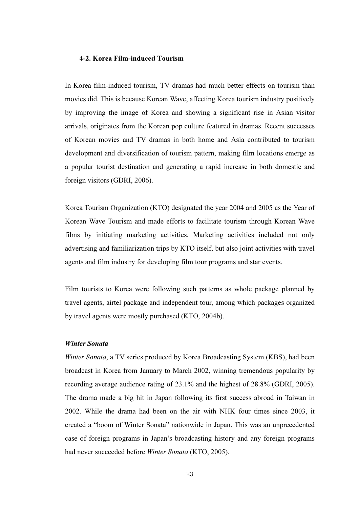### 4-2. Korea Film-induced Tourism

In Korea film-induced tourism, TV dramas had much better effects on tourism than movies did. This is because Korean Wave, affecting Korea tourism industry positively by improving the image of Korea and showing a significant rise in Asian visitor arrivals, originates from the Korean pop culture featured in dramas. Recent successes of Korean movies and TV dramas in both home and Asia contributed to tourism development and diversification of tourism pattern, making film locations emerge as a popular tourist destination and generating a rapid increase in both domestic and foreign visitors (GDRI, 2006).

Korea Tourism Organization (KTO) designated the year 2004 and 2005 as the Year of Korean Wave Tourism and made efforts to facilitate tourism through Korean Wave films by initiating marketing activities. Marketing activities included not only advertising and familiarization trips by KTO itself, but also joint activities with travel agents and film industry for developing film tour programs and star events.

Film tourists to Korea were following such patterns as whole package planned by travel agents, airtel package and independent tour, among which packages organized by travel agents were mostly purchased (KTO, 2004b).

#### Winter Sonata

Winter Sonata, a TV series produced by Korea Broadcasting System (KBS), had been broadcast in Korea from January to March 2002, winning tremendous popularity by recording average audience rating of 23.1% and the highest of 28.8% (GDRI, 2005). The drama made a big hit in Japan following its first success abroad in Taiwan in 2002. While the drama had been on the air with NHK four times since 2003, it created a "boom of Winter Sonata" nationwide in Japan. This was an unprecedented case of foreign programs in Japan's broadcasting history and any foreign programs had never succeeded before Winter Sonata (KTO, 2005).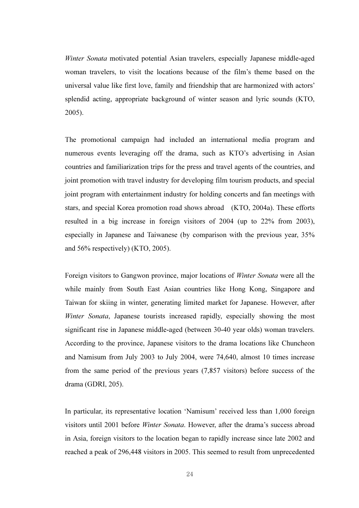Winter Sonata motivated potential Asian travelers, especially Japanese middle-aged woman travelers, to visit the locations because of the film's theme based on the universal value like first love, family and friendship that are harmonized with actors' splendid acting, appropriate background of winter season and lyric sounds (KTO, 2005).

The promotional campaign had included an international media program and numerous events leveraging off the drama, such as KTO's advertising in Asian countries and familiarization trips for the press and travel agents of the countries, and joint promotion with travel industry for developing film tourism products, and special joint program with entertainment industry for holding concerts and fan meetings with stars, and special Korea promotion road shows abroad (KTO, 2004a). These efforts resulted in a big increase in foreign visitors of 2004 (up to 22% from 2003), especially in Japanese and Taiwanese (by comparison with the previous year, 35% and 56% respectively) (KTO, 2005).

Foreign visitors to Gangwon province, major locations of Winter Sonata were all the while mainly from South East Asian countries like Hong Kong, Singapore and Taiwan for skiing in winter, generating limited market for Japanese. However, after Winter Sonata, Japanese tourists increased rapidly, especially showing the most significant rise in Japanese middle-aged (between 30-40 year olds) woman travelers. According to the province, Japanese visitors to the drama locations like Chuncheon and Namisum from July 2003 to July 2004, were 74,640, almost 10 times increase from the same period of the previous years (7,857 visitors) before success of the drama (GDRI, 205).

In particular, its representative location 'Namisum' received less than 1,000 foreign visitors until 2001 before Winter Sonata. However, after the drama's success abroad in Asia, foreign visitors to the location began to rapidly increase since late 2002 and reached a peak of 296,448 visitors in 2005. This seemed to result from unprecedented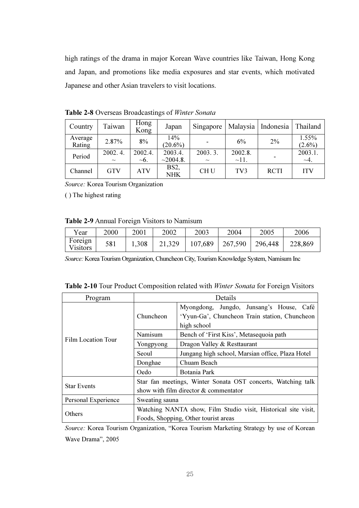high ratings of the drama in major Korean Wave countries like Taiwan, Hong Kong and Japan, and promotions like media exposures and star events, which motivated Japanese and other Asian travelers to visit locations.

| Country           | Taiwan            | Hong<br>Kong          | Japan                           | Singapore         | Malaysia              | Indonesia   | Thailand             |
|-------------------|-------------------|-----------------------|---------------------------------|-------------------|-----------------------|-------------|----------------------|
| Average<br>Rating | 2.87%             | 8%                    | 14%<br>$(20.6\%)$               |                   | 6%                    | 2%          | 1.55%<br>$(2.6\%)$   |
| Period            | 2002.4.<br>$\sim$ | 2002.4.<br>$\sim 6$ . | 2003.4.<br>~2004.8.             | 2003.3.<br>$\sim$ | 2002.8.<br>$\sim$ 11. |             | 2003.1.<br>$\sim$ 4. |
| Channel           | GTV               | ATV                   | BS <sub>2</sub> ,<br><b>NHK</b> | CH <sub>U</sub>   | TV <sub>3</sub>       | <b>RCTI</b> | <b>ITV</b>           |

Table 2-8 Overseas Broadcastings of Winter Sonata

Source: Korea Tourism Organization

( ) The highest rating

### Table 2-9 Annual Foreign Visitors to Namisum

| Year                | 2000 | 2001  | 2002   | 2003    | 2004    | 2005    | 2006    |
|---------------------|------|-------|--------|---------|---------|---------|---------|
| Foreign<br>Visitors | 581  | 1,308 | 21,329 | 107,689 | 267,590 | 296,448 | 228,869 |

Source: Korea Tourism Organization, Chuncheon City, Tourism Knowledge System, Namisum Inc

| Table 2-10 Tour Product Composition related with Winter Sonata for Foreign Visitors |  |  |  |
|-------------------------------------------------------------------------------------|--|--|--|
|                                                                                     |  |  |  |

| Program                   | Details                                                        |                                                                                                          |  |  |  |
|---------------------------|----------------------------------------------------------------|----------------------------------------------------------------------------------------------------------|--|--|--|
|                           | Chuncheon                                                      | Myongdong, Jungdo, Junsang's House, Café<br>'Yyun-Ga', Chuncheon Train station, Chuncheon<br>high school |  |  |  |
|                           | Namisum                                                        | Bench of 'First Kiss', Metasequoia path                                                                  |  |  |  |
| <b>Film Location Tour</b> | Yongpyong                                                      | Dragon Valley & Resttaurant                                                                              |  |  |  |
|                           | Seoul                                                          | Jungang high school, Marsian office, Plaza Hotel                                                         |  |  |  |
|                           | Donghae                                                        | Chuam Beach                                                                                              |  |  |  |
|                           | Oedo                                                           | Botania Park                                                                                             |  |  |  |
| <b>Star Events</b>        | Star fan meetings, Winter Sonata OST concerts, Watching talk   |                                                                                                          |  |  |  |
|                           | show with film director & commentator                          |                                                                                                          |  |  |  |
| Personal Experience       | Sweating sauna                                                 |                                                                                                          |  |  |  |
|                           | Watching NANTA show, Film Studio visit, Historical site visit, |                                                                                                          |  |  |  |
| Others                    | Foods, Shopping, Other tourist areas                           |                                                                                                          |  |  |  |

Source: Korea Tourism Organization, "Korea Tourism Marketing Strategy by use of Korean Wave Drama", 2005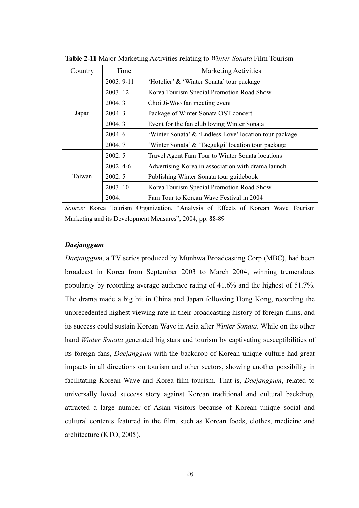| Country | Time       | Marketing Activities                                   |
|---------|------------|--------------------------------------------------------|
|         | 2003.9-11  | 'Hotelier' & 'Winter Sonata' tour package              |
|         | 2003.12    | Korea Tourism Special Promotion Road Show              |
|         | 2004.3     | Choi Ji-Woo fan meeting event                          |
| Japan   | 2004.3     | Package of Winter Sonata OST concert                   |
|         | 2004.3     | Event for the fan club loving Winter Sonata            |
|         | 2004.6     | 'Winter Sonata' & 'Endless Love' location tour package |
|         | 2004.7     | 'Winter Sonata' & 'Taegukgi' location tour package     |
|         | 2002.5     | Travel Agent Fam Tour to Winter Sonata locations       |
|         | $2002.4-6$ | Advertising Korea in association with drama launch     |
| Taiwan  | 2002.5     | Publishing Winter Sonata tour guidebook                |
|         | 2003.10    | Korea Tourism Special Promotion Road Show              |
|         | 2004.      | Fam Tour to Korean Wave Festival in 2004               |

Table 2-11 Major Marketing Activities relating to Winter Sonata Film Tourism

Source: Korea Tourism Organization, "Analysis of Effects of Korean Wave Tourism Marketing and its Development Measures", 2004, pp. 88-89

# Daejanggum

Daejanggum, a TV series produced by Munhwa Broadcasting Corp (MBC), had been broadcast in Korea from September 2003 to March 2004, winning tremendous popularity by recording average audience rating of 41.6% and the highest of 51.7%. The drama made a big hit in China and Japan following Hong Kong, recording the unprecedented highest viewing rate in their broadcasting history of foreign films, and its success could sustain Korean Wave in Asia after Winter Sonata. While on the other hand *Winter Sonata* generated big stars and tourism by captivating susceptibilities of its foreign fans, Daejanggum with the backdrop of Korean unique culture had great impacts in all directions on tourism and other sectors, showing another possibility in facilitating Korean Wave and Korea film tourism. That is, Daejanggum, related to universally loved success story against Korean traditional and cultural backdrop, attracted a large number of Asian visitors because of Korean unique social and cultural contents featured in the film, such as Korean foods, clothes, medicine and architecture (KTO, 2005).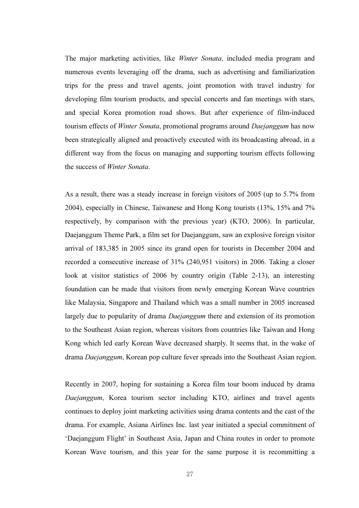The major marketing activities, like Winter Sonata, included media program and numerous events leveraging off the drama, such as advertising and familiarization trips for the press and travel agents, joint promotion with travel industry for developing film tourism products, and special concerts and fan meetings with stars, and special Korea promotion road shows. But after experience of film-induced tourism effects of Winter Sonata, promotional programs around Daejanggum has now been strategically aligned and proactively executed with its broadcasting abroad, in a different way from the focus on managing and supporting tourism effects following the success of Winter Sonata.

As a result, there was a steady increase in foreign visitors of 2005 (up to 5.7% from 2004), especially in Chinese, Taiwanese and Hong Kong tourists (13%, 15% and 7% respectively, by comparison with the previous year) (KTO, 2006). In particular, Daejanggum Theme Park, a film set for Daejanggum, saw an explosive foreign visitor arrival of 183,385 in 2005 since its grand open for tourists in December 2004 and recorded a consecutive increase of 31% (240,951 visitors) in 2006. Taking a closer look at visitor statistics of 2006 by country origin (Table 2-13), an interesting foundation can be made that visitors from newly emerging Korean Wave countries like Malaysia, Singapore and Thailand which was a small number in 2005 increased largely due to popularity of drama Daejanggum there and extension of its promotion to the Southeast Asian region, whereas visitors from countries like Taiwan and Hong Kong which led early Korean Wave decreased sharply. It seems that, in the wake of drama Daejanggum, Korean pop culture fever spreads into the Southeast Asian region.

Recently in 2007, hoping for sustaining a Korea film tour boom induced by drama Daejanggum, Korea tourism sector including KTO, airlines and travel agents continues to deploy joint marketing activities using drama contents and the cast of the drama. For example, Asiana Airlines Inc. last year initiated a special commitment of 'Daejanggum Flight' in Southeast Asia, Japan and China routes in order to promote Korean Wave tourism, and this year for the same purpose it is recommitting a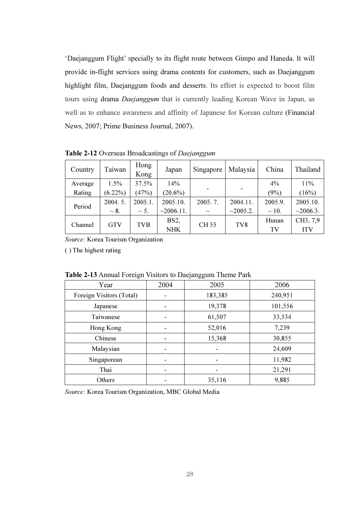'Daejanggum Flight' specially to its flight route between Gimpo and Haneda. It will provide in-flight services using drama contents for customers, such as Daejanggum highlight film, Daejanggum foods and desserts. Its effort is expected to boost film tours using drama Daejanggum that is currently leading Korean Wave in Japan, as well as to enhance awareness and affinity of Japanese for Korean culture (Financial News, 2007; Prime Business Journal, 2007).

| Country | Taiwan     | Hong<br>Kong | Japan           | Singapore   | Malaysia        | China      | Thailand   |
|---------|------------|--------------|-----------------|-------------|-----------------|------------|------------|
| Average | 1.5%       | 37.5%        | 14%             |             |                 | $4\%$      | 11%        |
| Rating  | $(6.22\%)$ | (47%)        | $(20.6\%)$      |             |                 | (9%)       | (16%)      |
| Period  | 2004.5.    | 2005.1.      | 2005.10.        | 2005.7.     | 2004.11.        | 2005.9.    | 2005.10.   |
|         | $\sim 8$ . | $\sim$ 5.    | $\sim$ 2006.11. | $\sim$      | ~2005.2.        | $\sim$ 10. | ~2006.3.   |
| Channel | <b>GTV</b> | <b>TVB</b>   | BS2,            | <b>CH55</b> | TV <sub>8</sub> | Hunan      | CH3, 7,9   |
|         |            |              | <b>NHK</b>      |             |                 | TV         | <b>ITV</b> |

Table 2-12 Overseas Broadcastings of Daejanggum

Source: Korea Tourism Organization

( ) The highest rating

| ັ                        |      | ◡<br>ັບ |         |
|--------------------------|------|---------|---------|
| Year                     | 2004 | 2005    | 2006    |
| Foreign Visitors (Total) |      | 183,385 | 240,951 |
| Japanese                 |      | 19,378  | 101,556 |
| Taiwanese                |      | 61,507  | 33,534  |
| Hong Kong                | ۰    | 52,016  | 7,239   |
| Chinese                  |      | 15,368  | 30,855  |
| Malaysian                |      |         | 24,609  |
| Singaporean              | ۰    |         | 11,982  |
| Thai                     |      |         | 21,291  |
| Others                   |      | 35,116  | 9,885   |

Table 2-13 Annual Foreign Visitors to Daejanggum Theme Park

Source: Korea Tourism Organization, MBC Global Media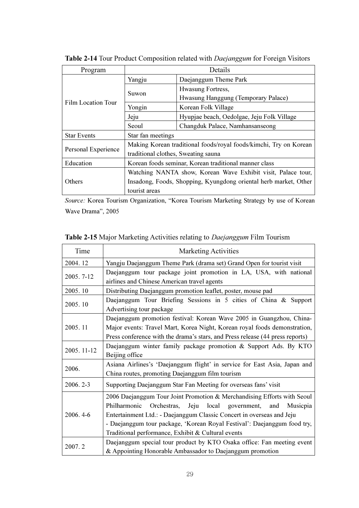| Program             | Details                                                           |                                                       |  |  |
|---------------------|-------------------------------------------------------------------|-------------------------------------------------------|--|--|
|                     | Yangju                                                            | Daejanggum Theme Park                                 |  |  |
|                     | Suwon                                                             | Hwasung Fortress,                                     |  |  |
| Film Location Tour  |                                                                   | Hwasung Hanggung (Temporary Palace)                   |  |  |
|                     | Yongin                                                            | Korean Folk Village                                   |  |  |
|                     | Jeju                                                              | Hyupjae beach, Oedolgae, Jeju Folk Village            |  |  |
|                     | Seoul                                                             | Changduk Palace, Namhansanseong                       |  |  |
| <b>Star Events</b>  | Star fan meetings                                                 |                                                       |  |  |
| Personal Experience | Making Korean traditional foods/royal foods/kimchi, Try on Korean |                                                       |  |  |
|                     | traditional clothes, Sweating sauna                               |                                                       |  |  |
| Education           |                                                                   | Korean foods seminar, Korean traditional manner class |  |  |
|                     | Watching NANTA show, Korean Wave Exhibit visit, Palace tour,      |                                                       |  |  |
| Others              | Insadong, Foods, Shopping, Kyungdong oriental herb market, Other  |                                                       |  |  |
|                     | tourist areas                                                     |                                                       |  |  |

Table 2-14 Tour Product Composition related with *Daejanggum* for Foreign Visitors

Source: Korea Tourism Organization, "Korea Tourism Marketing Strategy by use of Korean Wave Drama", 2005

| Time        | <b>Marketing Activities</b>                                                                                                                                                                                                                                                                                                                                 |  |  |  |  |  |  |
|-------------|-------------------------------------------------------------------------------------------------------------------------------------------------------------------------------------------------------------------------------------------------------------------------------------------------------------------------------------------------------------|--|--|--|--|--|--|
| 2004.12     | Yangju Daejanggum Theme Park (drama set) Grand Open for tourist visit                                                                                                                                                                                                                                                                                       |  |  |  |  |  |  |
| 2005.7-12   | Daejanggum tour package joint promotion in LA, USA, with national<br>airlines and Chinese American travel agents                                                                                                                                                                                                                                            |  |  |  |  |  |  |
| 2005.10     | Distributing Daejanggum promotion leaflet, poster, mouse pad                                                                                                                                                                                                                                                                                                |  |  |  |  |  |  |
| 2005.10     | Daejanggum Tour Briefing Sessions in 5 cities of China & Support<br>Advertising tour package                                                                                                                                                                                                                                                                |  |  |  |  |  |  |
| 2005.11     | Daejanggum promotion festival: Korean Wave 2005 in Guangzhou, China-<br>Major events: Travel Mart, Korea Night, Korean royal foods demonstration,<br>Press conference with the drama's stars, and Press release (44 press reports)                                                                                                                          |  |  |  |  |  |  |
| 2005. 11-12 | Daejanggum winter family package promotion & Support Ads. By KTO<br>Beijing office                                                                                                                                                                                                                                                                          |  |  |  |  |  |  |
| 2006.       | Asiana Airlines's 'Daejanggum flight' in service for East Asia, Japan and<br>China routes, promoting Daejanggum film tourism                                                                                                                                                                                                                                |  |  |  |  |  |  |
| 2006.2-3    | Supporting Daejanggum Star Fan Meeting for overseas fans' visit                                                                                                                                                                                                                                                                                             |  |  |  |  |  |  |
| 2006.4-6    | 2006 Daejanggum Tour Joint Promotion & Merchandising Efforts with Seoul<br>local government, and<br>Philharmonic<br>Orchestras, Jeju<br>Musicpia<br>Entertainment Ltd.: - Daejanggum Classic Concert in overseas and Jeju<br>- Daejanggum tour package, 'Korean Royal Festival': Daejanggum food try,<br>Traditional performance, Exhibit & Cultural events |  |  |  |  |  |  |
| 2007.2      | Daejanggum special tour product by KTO Osaka office: Fan meeting event<br>& Appointing Honorable Ambassador to Daejanggum promotion                                                                                                                                                                                                                         |  |  |  |  |  |  |

Table 2-15 Major Marketing Activities relating to Daejanggum Film Tourism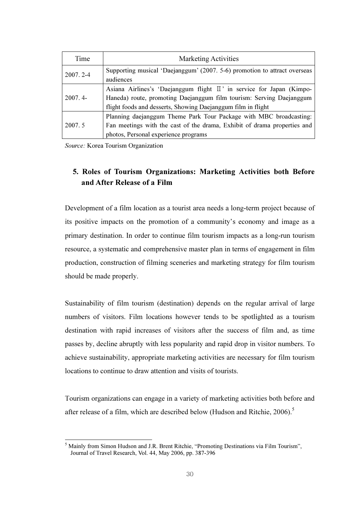| Time         | <b>Marketing Activities</b>                                                                                                                                                                                   |
|--------------|---------------------------------------------------------------------------------------------------------------------------------------------------------------------------------------------------------------|
| $2007.2 - 4$ | Supporting musical 'Daejanggum' (2007. 5-6) promotion to attract overseas<br>audiences                                                                                                                        |
| $2007.4-$    | Asiana Airlines's 'Daejanggum flight II' in service for Japan (Kimpo-<br>Haneda) route, promoting Daejanggum film tourism: Serving Daejanggum<br>flight foods and desserts, Showing Daejanggum film in flight |
| 2007.5       | Planning daejanggum Theme Park Tour Package with MBC broadcasting:<br>Fan meetings with the cast of the drama, Exhibit of drama properties and<br>photos, Personal experience programs                        |

Source: Korea Tourism Organization

l.

# 5. Roles of Tourism Organizations: Marketing Activities both Before and After Release of a Film

Development of a film location as a tourist area needs a long-term project because of its positive impacts on the promotion of a community's economy and image as a primary destination. In order to continue film tourism impacts as a long-run tourism resource, a systematic and comprehensive master plan in terms of engagement in film production, construction of filming sceneries and marketing strategy for film tourism should be made properly.

Sustainability of film tourism (destination) depends on the regular arrival of large numbers of visitors. Film locations however tends to be spotlighted as a tourism destination with rapid increases of visitors after the success of film and, as time passes by, decline abruptly with less popularity and rapid drop in visitor numbers. To achieve sustainability, appropriate marketing activities are necessary for film tourism locations to continue to draw attention and visits of tourists.

Tourism organizations can engage in a variety of marketing activities both before and after release of a film, which are described below (Hudson and Ritchie, 2006).<sup>5</sup>

<sup>5</sup> Mainly from Simon Hudson and J.R. Brent Ritchie, "Promoting Destinations via Film Tourism", Journal of Travel Research, Vol. 44, May 2006, pp. 387-396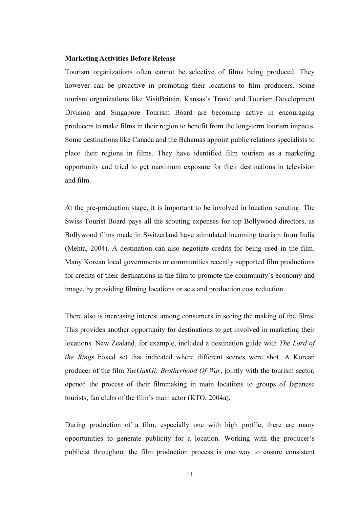#### Marketing Activities Before Release

Tourism organizations often cannot be selective of films being produced. They however can be proactive in promoting their locations to film producers. Some tourism organizations like VisitBritain, Kansas's Travel and Tourism Development Division and Singapore Tourism Board are becoming active in encouraging producers to make films in their region to benefit from the long-term tourism impacts. Some destinations like Canada and the Bahamas appoint public relations specialists to place their regions in films. They have identified film tourism as a marketing opportunity and tried to get maximum exposure for their destinations in television and film.

At the pre-production stage, it is important to be involved in location scouting. The Swiss Tourist Board pays all the scouting expenses for top Bollywood directors, as Bollywood films made in Switzerland have stimulated incoming tourism from India (Mehta, 2004). A destination can also negotiate credits for being used in the film. Many Korean local governments or communities recently supported film productions for credits of their destinations in the film to promote the community's economy and image, by providing filming locations or sets and production cost reduction.

There also is increasing interest among consumers in seeing the making of the films. This provides another opportunity for destinations to get involved in marketing their locations. New Zealand, for example, included a destination guide with The Lord of the Rings boxed set that indicated where different scenes were shot. A Korean producer of the film *TaeGukGi: Brotherhood Of War*, jointly with the tourism sector, opened the process of their filmmaking in main locations to groups of Japanese tourists, fan clubs of the film's main actor (KTO, 2004a).

During production of a film, especially one with high profile, there are many opportunities to generate publicity for a location. Working with the producer's publicist throughout the film production process is one way to ensure consistent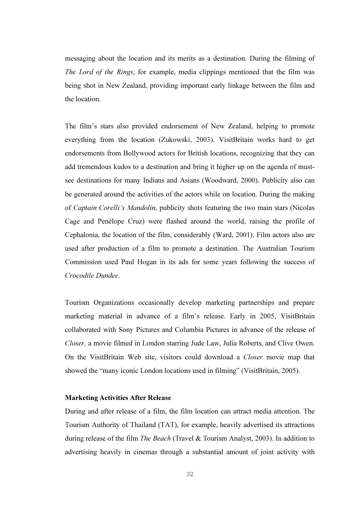messaging about the location and its merits as a destination. During the filming of The Lord of the Rings, for example, media clippings mentioned that the film was being shot in New Zealand, providing important early linkage between the film and the location.

The film's stars also provided endorsement of New Zealand, helping to promote everything from the location (Zukowski, 2003). VisitBritain works hard to get endorsements from Bollywood actors for British locations, recognizing that they can add tremendous kudos to a destination and bring it higher up on the agenda of mustsee destinations for many Indians and Asians (Woodward, 2000). Publicity also can be generated around the activities of the actors while on location. During the making of Captain Corelli's Mandolin, publicity shots featuring the two main stars (Nicolas Cage and Penélope Cruz) were flashed around the world, raising the profile of Cephalonia, the location of the film, considerably (Ward, 2001). Film actors also are used after production of a film to promote a destination. The Australian Tourism Commission used Paul Hogan in its ads for some years following the success of Crocodile Dundee.

Tourism Organizations occasionally develop marketing partnerships and prepare marketing material in advance of a film's release. Early in 2005, VisitBritain collaborated with Sony Pictures and Columbia Pictures in advance of the release of Closer, a movie filmed in London starring Jude Law, Julia Roberts, and Clive Owen. On the VisitBritain Web site, visitors could download a Closer movie map that showed the "many iconic London locations used in filming" (VisitBritain, 2005).

#### Marketing Activities After Release

During and after release of a film, the film location can attract media attention. The Tourism Authority of Thailand (TAT), for example, heavily advertised its attractions during release of the film The Beach (Travel & Tourism Analyst, 2003). In addition to advertising heavily in cinemas through a substantial amount of joint activity with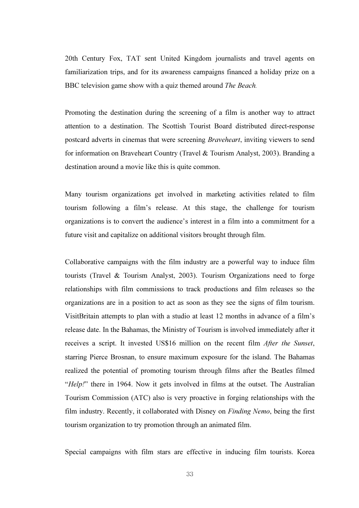20th Century Fox, TAT sent United Kingdom journalists and travel agents on familiarization trips, and for its awareness campaigns financed a holiday prize on a BBC television game show with a quiz themed around *The Beach*.

Promoting the destination during the screening of a film is another way to attract attention to a destination. The Scottish Tourist Board distributed direct-response postcard adverts in cinemas that were screening Braveheart, inviting viewers to send for information on Braveheart Country (Travel & Tourism Analyst, 2003). Branding a destination around a movie like this is quite common.

Many tourism organizations get involved in marketing activities related to film tourism following a film's release. At this stage, the challenge for tourism organizations is to convert the audience's interest in a film into a commitment for a future visit and capitalize on additional visitors brought through film.

Collaborative campaigns with the film industry are a powerful way to induce film tourists (Travel & Tourism Analyst, 2003). Tourism Organizations need to forge relationships with film commissions to track productions and film releases so the organizations are in a position to act as soon as they see the signs of film tourism. VisitBritain attempts to plan with a studio at least 12 months in advance of a film's release date. In the Bahamas, the Ministry of Tourism is involved immediately after it receives a script. It invested US\$16 million on the recent film After the Sunset, starring Pierce Brosnan, to ensure maximum exposure for the island. The Bahamas realized the potential of promoting tourism through films after the Beatles filmed "Help!" there in 1964. Now it gets involved in films at the outset. The Australian Tourism Commission (ATC) also is very proactive in forging relationships with the film industry. Recently, it collaborated with Disney on Finding Nemo, being the first tourism organization to try promotion through an animated film.

Special campaigns with film stars are effective in inducing film tourists. Korea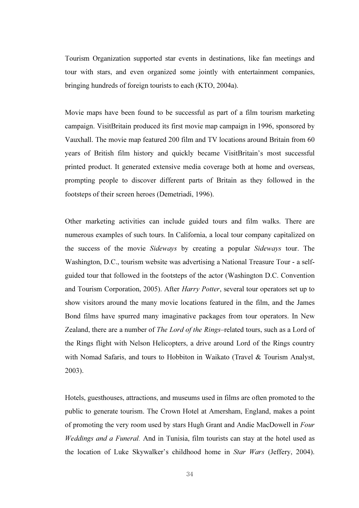Tourism Organization supported star events in destinations, like fan meetings and tour with stars, and even organized some jointly with entertainment companies, bringing hundreds of foreign tourists to each (KTO, 2004a).

Movie maps have been found to be successful as part of a film tourism marketing campaign. VisitBritain produced its first movie map campaign in 1996, sponsored by Vauxhall. The movie map featured 200 film and TV locations around Britain from 60 years of British film history and quickly became VisitBritain's most successful printed product. It generated extensive media coverage both at home and overseas, prompting people to discover different parts of Britain as they followed in the footsteps of their screen heroes (Demetriadi, 1996).

Other marketing activities can include guided tours and film walks. There are numerous examples of such tours. In California, a local tour company capitalized on the success of the movie Sideways by creating a popular Sideways tour. The Washington, D.C., tourism website was advertising a National Treasure Tour - a selfguided tour that followed in the footsteps of the actor (Washington D.C. Convention and Tourism Corporation, 2005). After Harry Potter, several tour operators set up to show visitors around the many movie locations featured in the film, and the James Bond films have spurred many imaginative packages from tour operators. In New Zealand, there are a number of The Lord of the Rings–related tours, such as a Lord of the Rings flight with Nelson Helicopters, a drive around Lord of the Rings country with Nomad Safaris, and tours to Hobbiton in Waikato (Travel & Tourism Analyst, 2003).

Hotels, guesthouses, attractions, and museums used in films are often promoted to the public to generate tourism. The Crown Hotel at Amersham, England, makes a point of promoting the very room used by stars Hugh Grant and Andie MacDowell in Four Weddings and a Funeral. And in Tunisia, film tourists can stay at the hotel used as the location of Luke Skywalker's childhood home in Star Wars (Jeffery, 2004).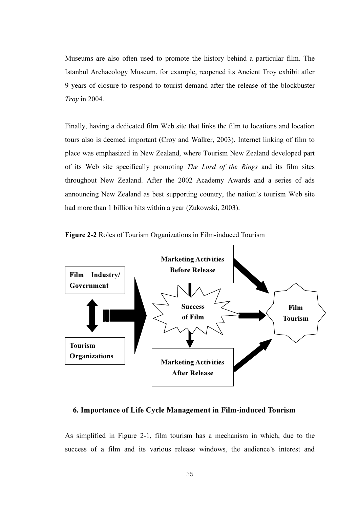Museums are also often used to promote the history behind a particular film. The Istanbul Archaeology Museum, for example, reopened its Ancient Troy exhibit after 9 years of closure to respond to tourist demand after the release of the blockbuster Troy in 2004.

Finally, having a dedicated film Web site that links the film to locations and location tours also is deemed important (Croy and Walker, 2003). Internet linking of film to place was emphasized in New Zealand, where Tourism New Zealand developed part of its Web site specifically promoting The Lord of the Rings and its film sites throughout New Zealand. After the 2002 Academy Awards and a series of ads announcing New Zealand as best supporting country, the nation's tourism Web site had more than 1 billion hits within a year (Zukowski, 2003).





## 6. Importance of Life Cycle Management in Film-induced Tourism

As simplified in Figure 2-1, film tourism has a mechanism in which, due to the success of a film and its various release windows, the audience's interest and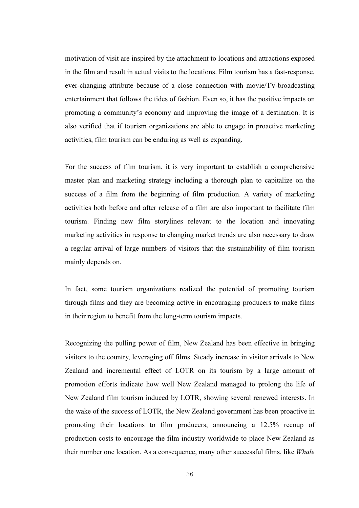motivation of visit are inspired by the attachment to locations and attractions exposed in the film and result in actual visits to the locations. Film tourism has a fast-response, ever-changing attribute because of a close connection with movie/TV-broadcasting entertainment that follows the tides of fashion. Even so, it has the positive impacts on promoting a community's economy and improving the image of a destination. It is also verified that if tourism organizations are able to engage in proactive marketing activities, film tourism can be enduring as well as expanding.

For the success of film tourism, it is very important to establish a comprehensive master plan and marketing strategy including a thorough plan to capitalize on the success of a film from the beginning of film production. A variety of marketing activities both before and after release of a film are also important to facilitate film tourism. Finding new film storylines relevant to the location and innovating marketing activities in response to changing market trends are also necessary to draw a regular arrival of large numbers of visitors that the sustainability of film tourism mainly depends on.

In fact, some tourism organizations realized the potential of promoting tourism through films and they are becoming active in encouraging producers to make films in their region to benefit from the long-term tourism impacts.

Recognizing the pulling power of film, New Zealand has been effective in bringing visitors to the country, leveraging off films. Steady increase in visitor arrivals to New Zealand and incremental effect of LOTR on its tourism by a large amount of promotion efforts indicate how well New Zealand managed to prolong the life of New Zealand film tourism induced by LOTR, showing several renewed interests. In the wake of the success of LOTR, the New Zealand government has been proactive in promoting their locations to film producers, announcing a 12.5% recoup of production costs to encourage the film industry worldwide to place New Zealand as their number one location. As a consequence, many other successful films, like Whale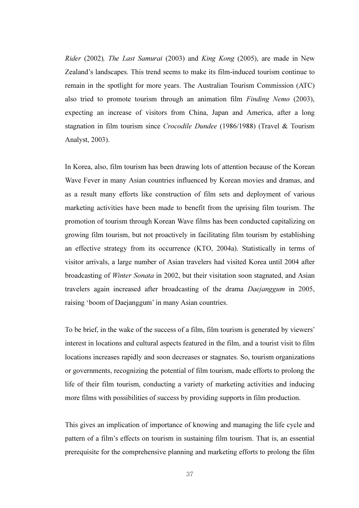Rider (2002), The Last Samurai (2003) and King Kong (2005), are made in New Zealand's landscapes. This trend seems to make its film-induced tourism continue to remain in the spotlight for more years. The Australian Tourism Commission (ATC) also tried to promote tourism through an animation film Finding Nemo (2003), expecting an increase of visitors from China, Japan and America, after a long stagnation in film tourism since Crocodile Dundee (1986/1988) (Travel & Tourism Analyst, 2003).

In Korea, also, film tourism has been drawing lots of attention because of the Korean Wave Fever in many Asian countries influenced by Korean movies and dramas, and as a result many efforts like construction of film sets and deployment of various marketing activities have been made to benefit from the uprising film tourism. The promotion of tourism through Korean Wave films has been conducted capitalizing on growing film tourism, but not proactively in facilitating film tourism by establishing an effective strategy from its occurrence (KTO, 2004a). Statistically in terms of visitor arrivals, a large number of Asian travelers had visited Korea until 2004 after broadcasting of Winter Sonata in 2002, but their visitation soon stagnated, and Asian travelers again increased after broadcasting of the drama Daejanggum in 2005, raising 'boom of Daejanggum' in many Asian countries.

To be brief, in the wake of the success of a film, film tourism is generated by viewers' interest in locations and cultural aspects featured in the film, and a tourist visit to film locations increases rapidly and soon decreases or stagnates. So, tourism organizations or governments, recognizing the potential of film tourism, made efforts to prolong the life of their film tourism, conducting a variety of marketing activities and inducing more films with possibilities of success by providing supports in film production.

This gives an implication of importance of knowing and managing the life cycle and pattern of a film's effects on tourism in sustaining film tourism. That is, an essential prerequisite for the comprehensive planning and marketing efforts to prolong the film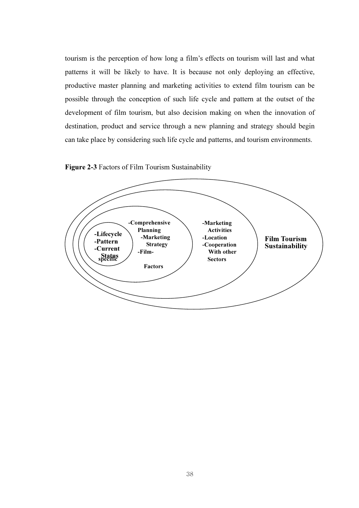tourism is the perception of how long a film's effects on tourism will last and what patterns it will be likely to have. It is because not only deploying an effective, productive master planning and marketing activities to extend film tourism can be possible through the conception of such life cycle and pattern at the outset of the development of film tourism, but also decision making on when the innovation of destination, product and service through a new planning and strategy should begin can take place by considering such life cycle and patterns, and tourism environments.



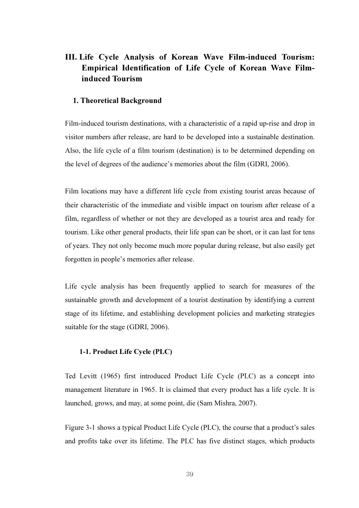# III. Life Cycle Analysis of Korean Wave Film-induced Tourism: Empirical Identification of Life Cycle of Korean Wave Filminduced Tourism

#### 1. Theoretical Background

Film-induced tourism destinations, with a characteristic of a rapid up-rise and drop in visitor numbers after release, are hard to be developed into a sustainable destination. Also, the life cycle of a film tourism (destination) is to be determined depending on the level of degrees of the audience's memories about the film (GDRI, 2006).

Film locations may have a different life cycle from existing tourist areas because of their characteristic of the immediate and visible impact on tourism after release of a film, regardless of whether or not they are developed as a tourist area and ready for tourism. Like other general products, their life span can be short, or it can last for tens of years. They not only become much more popular during release, but also easily get forgotten in people's memories after release.

Life cycle analysis has been frequently applied to search for measures of the sustainable growth and development of a tourist destination by identifying a current stage of its lifetime, and establishing development policies and marketing strategies suitable for the stage (GDRI, 2006).

#### 1-1. Product Life Cycle (PLC)

Ted Levitt (1965) first introduced Product Life Cycle (PLC) as a concept into management literature in 1965. It is claimed that every product has a life cycle. It is launched, grows, and may, at some point, die (Sam Mishra, 2007).

Figure 3-1 shows a typical Product Life Cycle (PLC), the course that a product's sales and profits take over its lifetime. The PLC has five distinct stages, which products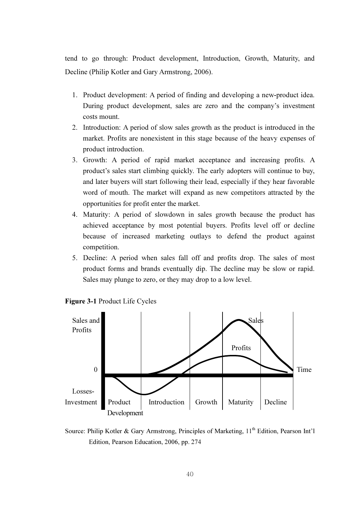tend to go through: Product development, Introduction, Growth, Maturity, and Decline (Philip Kotler and Gary Armstrong, 2006).

- 1. Product development: A period of finding and developing a new-product idea. During product development, sales are zero and the company's investment costs mount.
- 2. Introduction: A period of slow sales growth as the product is introduced in the market. Profits are nonexistent in this stage because of the heavy expenses of product introduction.
- 3. Growth: A period of rapid market acceptance and increasing profits. A product's sales start climbing quickly. The early adopters will continue to buy, and later buyers will start following their lead, especially if they hear favorable word of mouth. The market will expand as new competitors attracted by the opportunities for profit enter the market.
- 4. Maturity: A period of slowdown in sales growth because the product has achieved acceptance by most potential buyers. Profits level off or decline because of increased marketing outlays to defend the product against competition.
- 5. Decline: A period when sales fall off and profits drop. The sales of most product forms and brands eventually dip. The decline may be slow or rapid. Sales may plunge to zero, or they may drop to a low level.



Figure 3-1 Product Life Cycles

Source: Philip Kotler & Gary Armstrong, Principles of Marketing, 11<sup>th</sup> Edition, Pearson Int'l Edition, Pearson Education, 2006, pp. 274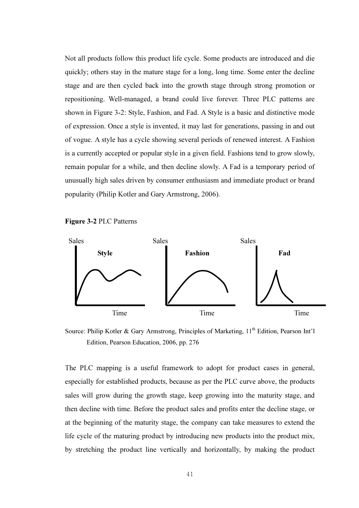Not all products follow this product life cycle. Some products are introduced and die quickly; others stay in the mature stage for a long, long time. Some enter the decline stage and are then cycled back into the growth stage through strong promotion or repositioning. Well-managed, a brand could live forever. Three PLC patterns are shown in Figure 3-2: Style, Fashion, and Fad. A Style is a basic and distinctive mode of expression. Once a style is invented, it may last for generations, passing in and out of vogue. A style has a cycle showing several periods of renewed interest. A Fashion is a currently accepted or popular style in a given field. Fashions tend to grow slowly, remain popular for a while, and then decline slowly. A Fad is a temporary period of unusually high sales driven by consumer enthusiasm and immediate product or brand popularity (Philip Kotler and Gary Armstrong, 2006).





Source: Philip Kotler & Gary Armstrong, Principles of Marketing,  $11<sup>th</sup>$  Edition, Pearson Int'l Edition, Pearson Education, 2006, pp. 276

The PLC mapping is a useful framework to adopt for product cases in general, especially for established products, because as per the PLC curve above, the products sales will grow during the growth stage, keep growing into the maturity stage, and then decline with time. Before the product sales and profits enter the decline stage, or at the beginning of the maturity stage, the company can take measures to extend the life cycle of the maturing product by introducing new products into the product mix, by stretching the product line vertically and horizontally, by making the product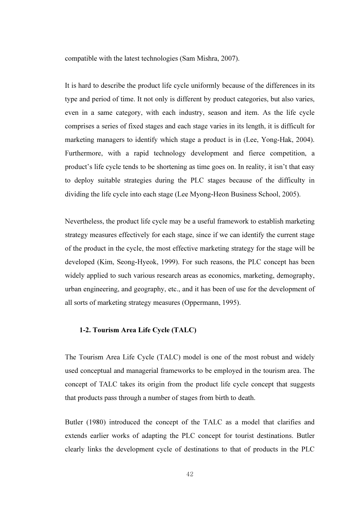compatible with the latest technologies (Sam Mishra, 2007).

It is hard to describe the product life cycle uniformly because of the differences in its type and period of time. It not only is different by product categories, but also varies, even in a same category, with each industry, season and item. As the life cycle comprises a series of fixed stages and each stage varies in its length, it is difficult for marketing managers to identify which stage a product is in (Lee, Yong-Hak, 2004). Furthermore, with a rapid technology development and fierce competition, a product's life cycle tends to be shortening as time goes on. In reality, it isn't that easy to deploy suitable strategies during the PLC stages because of the difficulty in dividing the life cycle into each stage (Lee Myong-Heon Business School, 2005).

Nevertheless, the product life cycle may be a useful framework to establish marketing strategy measures effectively for each stage, since if we can identify the current stage of the product in the cycle, the most effective marketing strategy for the stage will be developed (Kim, Seong-Hyeok, 1999). For such reasons, the PLC concept has been widely applied to such various research areas as economics, marketing, demography, urban engineering, and geography, etc., and it has been of use for the development of all sorts of marketing strategy measures (Oppermann, 1995).

#### 1-2. Tourism Area Life Cycle (TALC)

The Tourism Area Life Cycle (TALC) model is one of the most robust and widely used conceptual and managerial frameworks to be employed in the tourism area. The concept of TALC takes its origin from the product life cycle concept that suggests that products pass through a number of stages from birth to death.

Butler (1980) introduced the concept of the TALC as a model that clarifies and extends earlier works of adapting the PLC concept for tourist destinations. Butler clearly links the development cycle of destinations to that of products in the PLC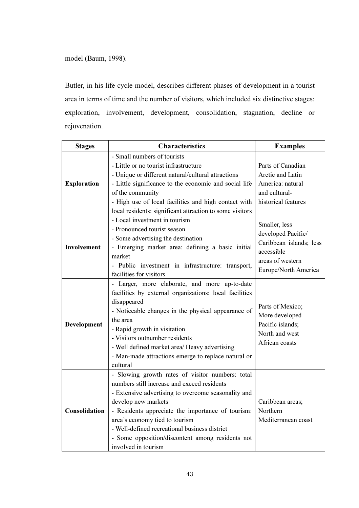model (Baum, 1998).

Butler, in his life cycle model, describes different phases of development in a tourist area in terms of time and the number of visitors, which included six distinctive stages: exploration, involvement, development, consolidation, stagnation, decline or rejuvenation.

| <b>Stages</b>      | <b>Characteristics</b>                                   | <b>Examples</b>         |
|--------------------|----------------------------------------------------------|-------------------------|
|                    | - Small numbers of tourists                              |                         |
| <b>Exploration</b> | - Little or no tourist infrastructure                    | Parts of Canadian       |
|                    | - Unique or different natural/cultural attractions       | Arctic and Latin        |
|                    | - Little significance to the economic and social life    | America: natural        |
|                    | of the community                                         | and cultural-           |
|                    | - High use of local facilities and high contact with     | historical features     |
|                    | local residents: significant attraction to some visitors |                         |
|                    | - Local investment in tourism                            | Smaller, less           |
|                    | - Pronounced tourist season                              | developed Pacific/      |
|                    | - Some advertising the destination                       | Caribbean islands; less |
| <b>Involvement</b> | - Emerging market area: defining a basic initial         | accessible              |
|                    | market                                                   | areas of western        |
|                    | - Public investment in infrastructure: transport,        | Europe/North America    |
|                    | facilities for visitors                                  |                         |
|                    | - Larger, more elaborate, and more up-to-date            |                         |
|                    | facilities by external organizations: local facilities   |                         |
|                    | disappeared                                              | Parts of Mexico;        |
|                    | - Noticeable changes in the physical appearance of       | More developed          |
| Development        | the area                                                 | Pacific islands;        |
|                    | - Rapid growth in visitation                             | North and west          |
|                    | - Visitors outnumber residents                           | African coasts          |
|                    | - Well defined market area/ Heavy advertising            |                         |
|                    | - Man-made attractions emerge to replace natural or      |                         |
|                    | cultural                                                 |                         |
|                    | - Slowing growth rates of visitor numbers: total         |                         |
|                    | numbers still increase and exceed residents              |                         |
|                    | - Extensive advertising to overcome seasonality and      |                         |
|                    | develop new markets                                      | Caribbean areas;        |
| Consolidation      | - Residents appreciate the importance of tourism:        | Northern                |
|                    | area's economy tied to tourism                           | Mediterranean coast     |
|                    | - Well-defined recreational business district            |                         |
|                    | - Some opposition/discontent among residents not         |                         |
|                    | involved in tourism                                      |                         |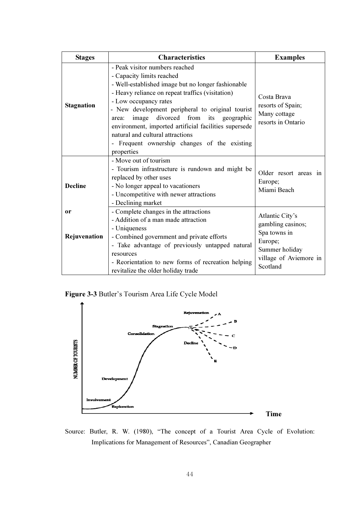| <b>Stages</b>             | <b>Characteristics</b>                                                                                                                                                                                                                                                                                                                                                                                                                                                | <b>Examples</b>                                                                                             |  |
|---------------------------|-----------------------------------------------------------------------------------------------------------------------------------------------------------------------------------------------------------------------------------------------------------------------------------------------------------------------------------------------------------------------------------------------------------------------------------------------------------------------|-------------------------------------------------------------------------------------------------------------|--|
| <b>Stagnation</b>         | - Peak visitor numbers reached<br>- Capacity limits reached<br>- Well-established image but no longer fashionable<br>- Heavy reliance on repeat traffics (visitation)<br>- Low occupancy rates<br>- New development peripheral to original tourist<br>divorced from<br>image<br>its<br>geographic<br>area:<br>environment, imported artificial facilities supersede<br>natural and cultural attractions<br>- Frequent ownership changes of the existing<br>properties | Costa Brava<br>resorts of Spain;<br>Many cottage<br>resorts in Ontario                                      |  |
| <b>Decline</b>            | - Move out of tourism<br>- Tourism infrastructure is rundown and might be<br>replaced by other uses<br>- No longer appeal to vacationers<br>- Uncompetitive with newer attractions<br>- Declining market                                                                                                                                                                                                                                                              | Older resort areas in<br>Europe;<br>Miami Beach                                                             |  |
| <b>or</b><br>Rejuvenation | - Complete changes in the attractions<br>- Addition of a man made attraction<br>- Uniqueness<br>- Combined government and private efforts<br>- Take advantage of previously untapped natural<br>resources<br>- Reorientation to new forms of recreation helping                                                                                                                                                                                                       | Atlantic City's<br>gambling casinos;<br>Spa towns in<br>Europe;<br>Summer holiday<br>village of Aviemore in |  |
|                           | revitalize the older holiday trade                                                                                                                                                                                                                                                                                                                                                                                                                                    | Scotland                                                                                                    |  |

Figure 3-3 Butler's Tourism Area Life Cycle Model



Source: Butler, R. W. (1980), "The concept of a Tourist Area Cycle of Evolution: Implications for Management of Resources", Canadian Geographer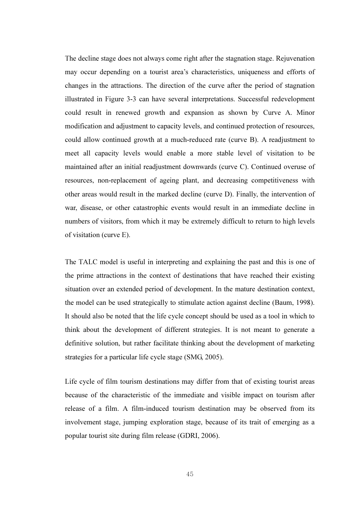The decline stage does not always come right after the stagnation stage. Rejuvenation may occur depending on a tourist area's characteristics, uniqueness and efforts of changes in the attractions. The direction of the curve after the period of stagnation illustrated in Figure 3-3 can have several interpretations. Successful redevelopment could result in renewed growth and expansion as shown by Curve A. Minor modification and adjustment to capacity levels, and continued protection of resources, could allow continued growth at a much-reduced rate (curve B). A readjustment to meet all capacity levels would enable a more stable level of visitation to be maintained after an initial readjustment downwards (curve C). Continued overuse of resources, non-replacement of ageing plant, and decreasing competitiveness with other areas would result in the marked decline (curve D). Finally, the intervention of war, disease, or other catastrophic events would result in an immediate decline in numbers of visitors, from which it may be extremely difficult to return to high levels of visitation (curve E).

The TALC model is useful in interpreting and explaining the past and this is one of the prime attractions in the context of destinations that have reached their existing situation over an extended period of development. In the mature destination context, the model can be used strategically to stimulate action against decline (Baum, 1998). It should also be noted that the life cycle concept should be used as a tool in which to think about the development of different strategies. It is not meant to generate a definitive solution, but rather facilitate thinking about the development of marketing strategies for a particular life cycle stage (SMG, 2005).

Life cycle of film tourism destinations may differ from that of existing tourist areas because of the characteristic of the immediate and visible impact on tourism after release of a film. A film-induced tourism destination may be observed from its involvement stage, jumping exploration stage, because of its trait of emerging as a popular tourist site during film release (GDRI, 2006).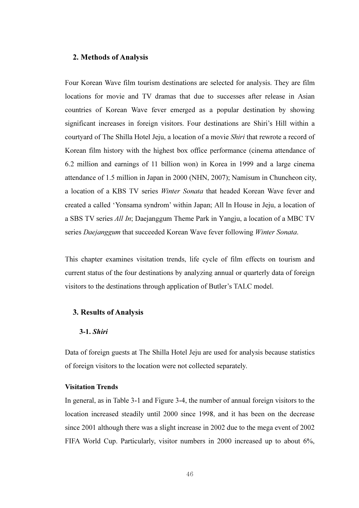#### 2. Methods of Analysis

Four Korean Wave film tourism destinations are selected for analysis. They are film locations for movie and TV dramas that due to successes after release in Asian countries of Korean Wave fever emerged as a popular destination by showing significant increases in foreign visitors. Four destinations are Shiri's Hill within a courtyard of The Shilla Hotel Jeju, a location of a movie Shiri that rewrote a record of Korean film history with the highest box office performance (cinema attendance of 6.2 million and earnings of 11 billion won) in Korea in 1999 and a large cinema attendance of 1.5 million in Japan in 2000 (NHN, 2007); Namisum in Chuncheon city, a location of a KBS TV series Winter Sonata that headed Korean Wave fever and created a called 'Yonsama syndrom' within Japan; All In House in Jeju, a location of a SBS TV series All In; Daejanggum Theme Park in Yangju, a location of a MBC TV series Daejanggum that succeeded Korean Wave fever following Winter Sonata.

This chapter examines visitation trends, life cycle of film effects on tourism and current status of the four destinations by analyzing annual or quarterly data of foreign visitors to the destinations through application of Butler's TALC model.

#### 3. Results of Analysis

#### 3-1. Shiri

Data of foreign guests at The Shilla Hotel Jeju are used for analysis because statistics of foreign visitors to the location were not collected separately.

# Visitation Trends

In general, as in Table 3-1 and Figure 3-4, the number of annual foreign visitors to the location increased steadily until 2000 since 1998, and it has been on the decrease since 2001 although there was a slight increase in 2002 due to the mega event of 2002 FIFA World Cup. Particularly, visitor numbers in 2000 increased up to about 6%,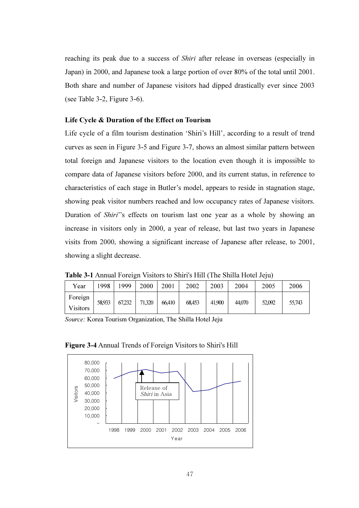reaching its peak due to a success of Shiri after release in overseas (especially in Japan) in 2000, and Japanese took a large portion of over 80% of the total until 2001. Both share and number of Japanese visitors had dipped drastically ever since 2003 (see Table 3-2, Figure 3-6).

## Life Cycle & Duration of the Effect on Tourism

Life cycle of a film tourism destination 'Shiri's Hill', according to a result of trend curves as seen in Figure 3-5 and Figure 3-7, shows an almost similar pattern between total foreign and Japanese visitors to the location even though it is impossible to compare data of Japanese visitors before 2000, and its current status, in reference to characteristics of each stage in Butler's model, appears to reside in stagnation stage, showing peak visitor numbers reached and low occupancy rates of Japanese visitors. Duration of Shiri''s effects on tourism last one year as a whole by showing an increase in visitors only in 2000, a year of release, but last two years in Japanese visits from 2000, showing a significant increase of Japanese after release, to 2001, showing a slight decrease.

| Year            | 1998   | 1999   | 2000   | 2001   | 2002   | 2003   | 2004   | 2005   | 2006   |
|-----------------|--------|--------|--------|--------|--------|--------|--------|--------|--------|
| Foreign         | 58,933 | 67,232 | 71,320 | 66.410 | 68.453 | 41.900 | 44,070 | 52,092 | 55,743 |
| <b>Visitors</b> |        |        |        |        |        |        |        |        |        |

Table 3-1 Annual Foreign Visitors to Shiri's Hill (The Shilla Hotel Jeju)

Source: Korea Tourism Organization, The Shilla Hotel Jeju



#### Figure 3-4 Annual Trends of Foreign Visitors to Shiri's Hill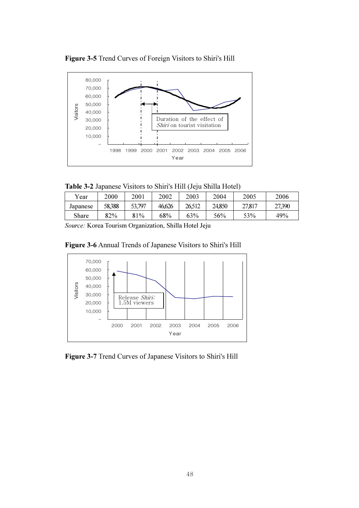



Table 3-2 Japanese Visitors to Shiri's Hill (Jeju Shilla Hotel)

| Year     | 2000   | 2001   | 2002   | 2003   | 2004   | 2005   | 2006   |
|----------|--------|--------|--------|--------|--------|--------|--------|
| Japanese | 58,388 | 53,797 | 46,626 | 26,512 | 24,850 | 27,817 | 27,390 |
| Share    | 82%    | 81%    | 68%    | 63%    | 56%    | 53%    | 49%    |
|          |        |        |        |        |        |        |        |

Source: Korea Tourism Organization, Shilla Hotel Jeju

Figure 3-6 Annual Trends of Japanese Visitors to Shiri's Hill



Figure 3-7 Trend Curves of Japanese Visitors to Shiri's Hill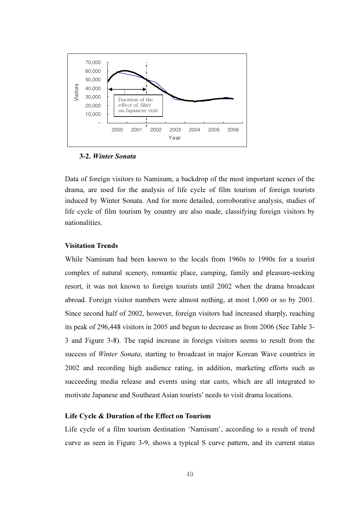

#### 3-2. Winter Sonata

Data of foreign visitors to Namisum, a backdrop of the most important scenes of the drama, are used for the analysis of life cycle of film tourism of foreign tourists induced by Winter Sonata. And for more detailed, corroborative analysis, studies of life cycle of film tourism by country are also made, classifying foreign visitors by nationalities.

## Visitation Trends

While Namisum had been known to the locals from 1960s to 1990s for a tourist complex of natural scenery, romantic place, camping, family and pleasure-seeking resort, it was not known to foreign tourists until 2002 when the drama broadcast abroad. Foreign visitor numbers were almost nothing, at most 1,000 or so by 2001. Since second half of 2002, however, foreign visitors had increased sharply, reaching its peak of 296,448 visitors in 2005 and begun to decrease as from 2006 (See Table 3- 3 and Figure 3-8). The rapid increase in foreign visitors seems to result from the success of Winter Sonata, starting to broadcast in major Korean Wave countries in 2002 and recording high audience rating, in addition, marketing efforts such as succeeding media release and events using star casts, which are all integrated to motivate Japanese and Southeast Asian tourists' needs to visit drama locations.

#### Life Cycle & Duration of the Effect on Tourism

Life cycle of a film tourism destination 'Namisum', according to a result of trend curve as seen in Figure 3-9, shows a typical S curve pattern, and its current status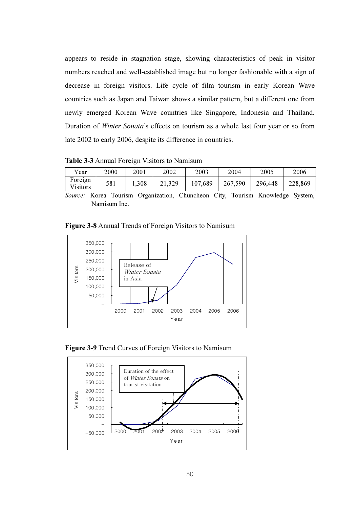appears to reside in stagnation stage, showing characteristics of peak in visitor numbers reached and well-established image but no longer fashionable with a sign of decrease in foreign visitors. Life cycle of film tourism in early Korean Wave countries such as Japan and Taiwan shows a similar pattern, but a different one from newly emerged Korean Wave countries like Singapore, Indonesia and Thailand. Duration of Winter Sonata's effects on tourism as a whole last four year or so from late 2002 to early 2006, despite its difference in countries.

Table 3-3 Annual Foreign Visitors to Namisum

| Year                       | 2000 | 2001  | 2002   | 2003    | 2004    | 2005    | 2006    |
|----------------------------|------|-------|--------|---------|---------|---------|---------|
| Foreign<br><b>Visitors</b> | 581  | 1,308 | 21,329 | 107,689 | 267,590 | 296,448 | 228,869 |

Source: Korea Tourism Organization, Chuncheon City, Tourism Knowledge System, Namisum Inc.

Figure 3-8 Annual Trends of Foreign Visitors to Namisum





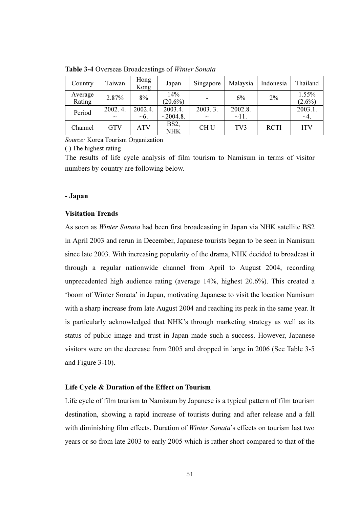| Country           | Taiwan            | Hong<br>Kong         | Japan                           | Singapore         | Malaysia              | Indonesia   | Thailand             |
|-------------------|-------------------|----------------------|---------------------------------|-------------------|-----------------------|-------------|----------------------|
| Average<br>Rating | 2.87%             | 8%                   | 14%<br>$(20.6\%)$               |                   | 6%                    | 2%          | 1.55%<br>$(2.6\%)$   |
| Period            | 2002.4.<br>$\sim$ | 2002.4.<br>$\sim$ 6. | 2003.4.<br>~2004.8.             | 2003.3.<br>$\sim$ | 2002.8.<br>$\sim$ 11. |             | 2003.1.<br>$\sim$ 4. |
| Channel           | <b>GTV</b>        | ATV                  | BS <sub>2</sub> ,<br><b>NHK</b> | <b>CHU</b>        | TV3                   | <b>RCTI</b> | <b>ITV</b>           |

Table 3-4 Overseas Broadcastings of Winter Sonata

Source: Korea Tourism Organization

( ) The highest rating

The results of life cycle analysis of film tourism to Namisum in terms of visitor numbers by country are following below.

### - Japan

#### Visitation Trends

As soon as Winter Sonata had been first broadcasting in Japan via NHK satellite BS2 in April 2003 and rerun in December, Japanese tourists began to be seen in Namisum since late 2003. With increasing popularity of the drama, NHK decided to broadcast it through a regular nationwide channel from April to August 2004, recording unprecedented high audience rating (average 14%, highest 20.6%). This created a 'boom of Winter Sonata' in Japan, motivating Japanese to visit the location Namisum with a sharp increase from late August 2004 and reaching its peak in the same year. It is particularly acknowledged that NHK's through marketing strategy as well as its status of public image and trust in Japan made such a success. However, Japanese visitors were on the decrease from 2005 and dropped in large in 2006 (See Table 3-5 and Figure 3-10).

## Life Cycle & Duration of the Effect on Tourism

Life cycle of film tourism to Namisum by Japanese is a typical pattern of film tourism destination, showing a rapid increase of tourists during and after release and a fall with diminishing film effects. Duration of *Winter Sonata*'s effects on tourism last two years or so from late 2003 to early 2005 which is rather short compared to that of the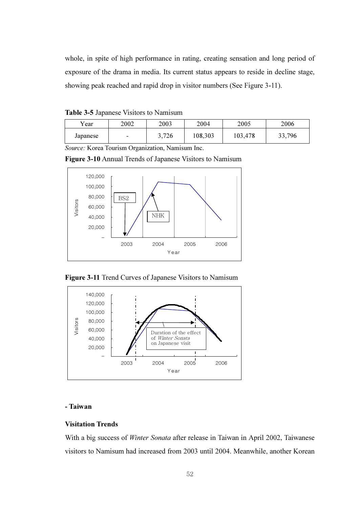whole, in spite of high performance in rating, creating sensation and long period of exposure of the drama in media. Its current status appears to reside in decline stage, showing peak reached and rapid drop in visitor numbers (See Figure 3-11).

| <b>Table 3-5 Japanese Visitors to Namisum</b> |  |
|-----------------------------------------------|--|
|-----------------------------------------------|--|

| Y ear    | 2002                     | 2003  | 2004    | 2005    | 2006   |
|----------|--------------------------|-------|---------|---------|--------|
| Japanese | $\overline{\phantom{0}}$ | 3,726 | 108,303 | 103,478 | 33,796 |

Source: Korea Tourism Organization, Namisum Inc.





Figure 3-11 Trend Curves of Japanese Visitors to Namisum



# - Taiwan

## Visitation Trends

With a big success of Winter Sonata after release in Taiwan in April 2002, Taiwanese visitors to Namisum had increased from 2003 until 2004. Meanwhile, another Korean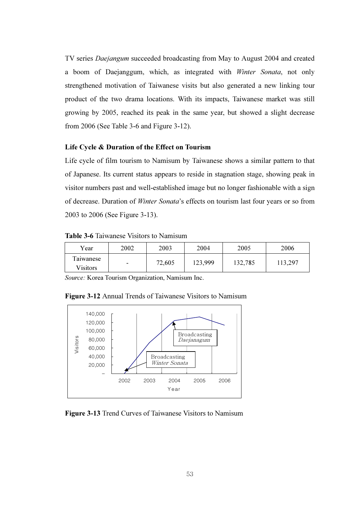TV series Daejangum succeeded broadcasting from May to August 2004 and created a boom of Daejanggum, which, as integrated with Winter Sonata, not only strengthened motivation of Taiwanese visits but also generated a new linking tour product of the two drama locations. With its impacts, Taiwanese market was still growing by 2005, reached its peak in the same year, but showed a slight decrease from 2006 (See Table 3-6 and Figure 3-12).

#### Life Cycle & Duration of the Effect on Tourism

Life cycle of film tourism to Namisum by Taiwanese shows a similar pattern to that of Japanese. Its current status appears to reside in stagnation stage, showing peak in visitor numbers past and well-established image but no longer fashionable with a sign of decrease. Duration of Winter Sonata's effects on tourism last four years or so from 2003 to 2006 (See Figure 3-13).

Table 3-6 Taiwanese Visitors to Namisum

| Year                         | 2002                     | 2003   | 2004    | 2005    | 2006    |
|------------------------------|--------------------------|--------|---------|---------|---------|
| Taiwanese<br><b>Visitors</b> | $\overline{\phantom{0}}$ | 72,605 | 123,999 | 132,785 | 113,297 |

Source: Korea Tourism Organization, Namisum Inc.

Figure 3-12 Annual Trends of Taiwanese Visitors to Namisum



Figure 3-13 Trend Curves of Taiwanese Visitors to Namisum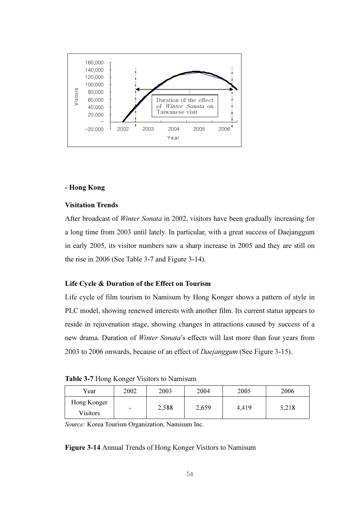

## - Hong Kong

#### Visitation Trends

After broadcast of Winter Sonata in 2002, visitors have been gradually increasing for a long time from 2003 until lately. In particular, with a great success of Daejanggum in early 2005, its visitor numbers saw a sharp increase in 2005 and they are still on the rise in 2006 (See Table 3-7 and Figure 3-14).

#### Life Cycle & Duration of the Effect on Tourism

Life cycle of film tourism to Namisum by Hong Konger shows a pattern of style in PLC model, showing renewed interests with another film. Its current status appears to reside in rejuvenation stage, showing changes in attractions caused by success of a new drama. Duration of Winter Sonata's effects will last more than four years from 2003 to 2006 onwards, because of an effect of Daejanggum (See Figure 3-15).

Table 3-7 Hong Konger Visitors to Namisum

| Year            | 2002                     | 2003  | 2004  | 2005  | 2006  |
|-----------------|--------------------------|-------|-------|-------|-------|
| Hong Konger     | $\overline{\phantom{0}}$ | 2,588 | 2,659 | 4,419 | 5,218 |
| <b>Visitors</b> |                          |       |       |       |       |

Source: Korea Tourism Organization, Namisum Inc.

Figure 3-14 Annual Trends of Hong Konger Visitors to Namisum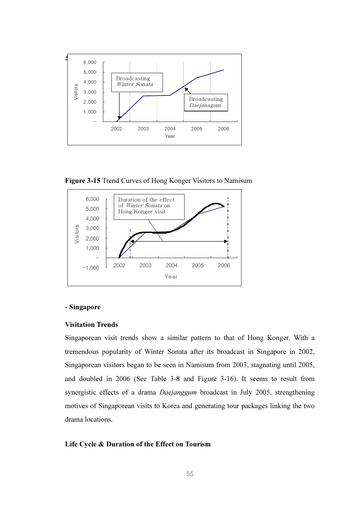

Figure 3-15 Trend Curves of Hong Konger Visitors to Namisum



## - Singapore

#### Visitation Trends

Singaporean visit trends show a similar pattern to that of Hong Konger. With a tremendous popularity of Winter Sonata after its broadcast in Singapore in 2002, Singaporean visitors began to be seen in Namisum from 2003, stagnating until 2005, and doubled in 2006 (See Table 3-8 and Figure 3-16). It seems to result from synergistic effects of a drama *Daejanggum* broadcast in July 2005, strengthening motives of Singaporean visits to Korea and generating tour packages linking the two drama locations.

## Life Cycle & Duration of the Effect on Tourism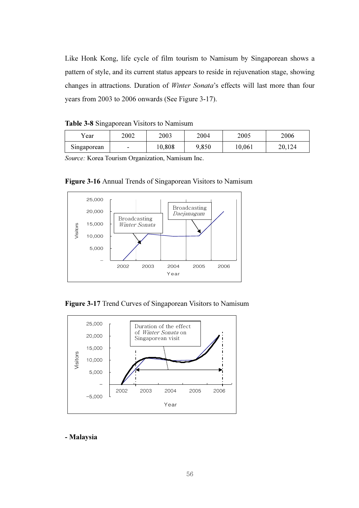Like Honk Kong, life cycle of film tourism to Namisum by Singaporean shows a pattern of style, and its current status appears to reside in rejuvenation stage, showing changes in attractions. Duration of Winter Sonata's effects will last more than four years from 2003 to 2006 onwards (See Figure 3-17).

| Table 3-8 Singaporean Visitors to Namisum |  |  |  |
|-------------------------------------------|--|--|--|
|-------------------------------------------|--|--|--|

| Y ear       | 2002                     | 2003  | 2004  | 2005   | 2006   |
|-------------|--------------------------|-------|-------|--------|--------|
| Singaporean | $\overline{\phantom{0}}$ | 0,808 | 9,850 | 10,061 | 20,124 |

Source: Korea Tourism Organization, Namisum Inc.



Figure 3-16 Annual Trends of Singaporean Visitors to Namisum

Figure 3-17 Trend Curves of Singaporean Visitors to Namisum



- Malaysia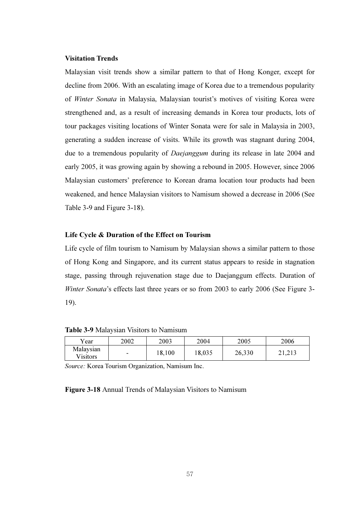# Visitation Trends

Malaysian visit trends show a similar pattern to that of Hong Konger, except for decline from 2006. With an escalating image of Korea due to a tremendous popularity of Winter Sonata in Malaysia, Malaysian tourist's motives of visiting Korea were strengthened and, as a result of increasing demands in Korea tour products, lots of tour packages visiting locations of Winter Sonata were for sale in Malaysia in 2003, generating a sudden increase of visits. While its growth was stagnant during 2004, due to a tremendous popularity of *Daejanggum* during its release in late 2004 and early 2005, it was growing again by showing a rebound in 2005. However, since 2006 Malaysian customers' preference to Korean drama location tour products had been weakened, and hence Malaysian visitors to Namisum showed a decrease in 2006 (See Table 3-9 and Figure 3-18).

# Life Cycle & Duration of the Effect on Tourism

Life cycle of film tourism to Namisum by Malaysian shows a similar pattern to those of Hong Kong and Singapore, and its current status appears to reside in stagnation stage, passing through rejuvenation stage due to Daejanggum effects. Duration of Winter Sonata's effects last three years or so from 2003 to early 2006 (See Figure 3- 19).

Table 3-9 Malaysian Visitors to Namisum

| Year                         | 2002                     | 2003   | 2004   | 2005   | 2006   |
|------------------------------|--------------------------|--------|--------|--------|--------|
| Malaysian<br><b>Visitors</b> | $\overline{\phantom{0}}$ | 18,100 | 18,035 | 26,330 | 21,213 |

Source: Korea Tourism Organization, Namisum Inc.

Figure 3-18 Annual Trends of Malaysian Visitors to Namisum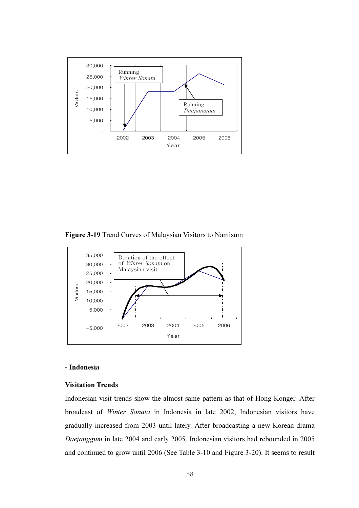

Figure 3-19 Trend Curves of Malaysian Visitors to Namisum



# - Indonesia

#### Visitation Trends

Indonesian visit trends show the almost same pattern as that of Hong Konger. After broadcast of Winter Sonata in Indonesia in late 2002, Indonesian visitors have gradually increased from 2003 until lately. After broadcasting a new Korean drama Daejanggum in late 2004 and early 2005, Indonesian visitors had rebounded in 2005 and continued to grow until 2006 (See Table 3-10 and Figure 3-20). It seems to result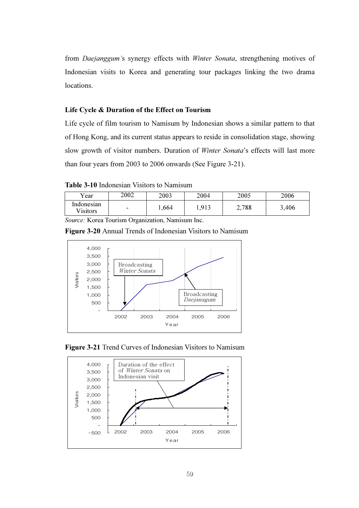from Daejanggum's synergy effects with Winter Sonata, strengthening motives of Indonesian visits to Korea and generating tour packages linking the two drama locations.

# Life Cycle & Duration of the Effect on Tourism

Life cycle of film tourism to Namisum by Indonesian shows a similar pattern to that of Hong Kong, and its current status appears to reside in consolidation stage, showing slow growth of visitor numbers. Duration of Winter Sonata's effects will last more than four years from 2003 to 2006 onwards (See Figure 3-21).

Table 3-10 Indonesian Visitors to Namisum

| Vear                   | 2002                     | 2003  | 2004 | 2005  | 2006  |
|------------------------|--------------------------|-------|------|-------|-------|
| Indonesian<br>Visitors | $\overline{\phantom{0}}$ | .,664 | .913 | 2,788 | 3,406 |

Source: Korea Tourism Organization, Namisum Inc.

Figure 3-20 Annual Trends of Indonesian Visitors to Namisum





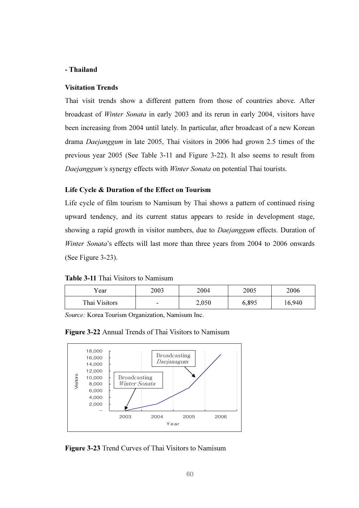# - Thailand

## Visitation Trends

Thai visit trends show a different pattern from those of countries above. After broadcast of Winter Sonata in early 2003 and its rerun in early 2004, visitors have been increasing from 2004 until lately. In particular, after broadcast of a new Korean drama Daejanggum in late 2005, Thai visitors in 2006 had grown 2.5 times of the previous year 2005 (See Table 3-11 and Figure 3-22). It also seems to result from Daejanggum's synergy effects with Winter Sonata on potential Thai tourists.

#### Life Cycle & Duration of the Effect on Tourism

Life cycle of film tourism to Namisum by Thai shows a pattern of continued rising upward tendency, and its current status appears to reside in development stage, showing a rapid growth in visitor numbers, due to *Daejanggum* effects. Duration of Winter Sonata's effects will last more than three years from 2004 to 2006 onwards (See Figure 3-23).

Table 3-11 Thai Visitors to Namisum

| Year          | 2003                     | 2004  | 2005  | 2006   |
|---------------|--------------------------|-------|-------|--------|
| Thai Visitors | $\overline{\phantom{0}}$ | 2,050 | 6,895 | 16,940 |

Source: Korea Tourism Organization, Namisum Inc.

## Figure 3-22 Annual Trends of Thai Visitors to Namisum



Figure 3-23 Trend Curves of Thai Visitors to Namisum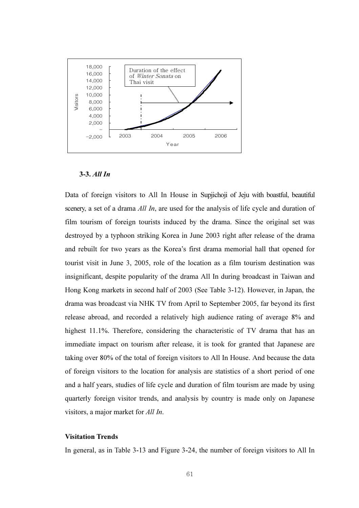

#### 3-3. All In

Data of foreign visitors to All In House in Supjichoji of Jeju with boastful, beautiful scenery, a set of a drama *All In*, are used for the analysis of life cycle and duration of film tourism of foreign tourists induced by the drama. Since the original set was destroyed by a typhoon striking Korea in June 2003 right after release of the drama and rebuilt for two years as the Korea's first drama memorial hall that opened for tourist visit in June 3, 2005, role of the location as a film tourism destination was insignificant, despite popularity of the drama All In during broadcast in Taiwan and Hong Kong markets in second half of 2003 (See Table 3-12). However, in Japan, the drama was broadcast via NHK TV from April to September 2005, far beyond its first release abroad, and recorded a relatively high audience rating of average 8% and highest 11.1%. Therefore, considering the characteristic of TV drama that has an immediate impact on tourism after release, it is took for granted that Japanese are taking over 80% of the total of foreign visitors to All In House. And because the data of foreign visitors to the location for analysis are statistics of a short period of one and a half years, studies of life cycle and duration of film tourism are made by using quarterly foreign visitor trends, and analysis by country is made only on Japanese visitors, a major market for All In.

## Visitation Trends

In general, as in Table 3-13 and Figure 3-24, the number of foreign visitors to All In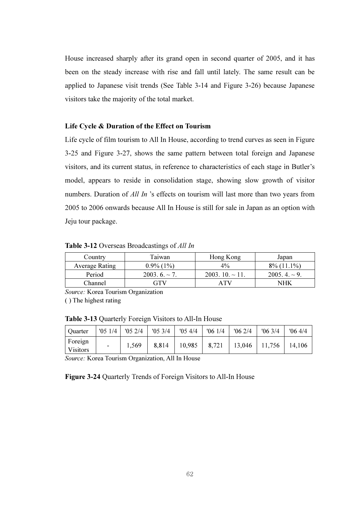House increased sharply after its grand open in second quarter of 2005, and it has been on the steady increase with rise and fall until lately. The same result can be applied to Japanese visit trends (See Table 3-14 and Figure 3-26) because Japanese visitors take the majority of the total market.

#### Life Cycle & Duration of the Effect on Tourism

Life cycle of film tourism to All In House, according to trend curves as seen in Figure 3-25 and Figure 3-27, shows the same pattern between total foreign and Japanese visitors, and its current status, in reference to characteristics of each stage in Butler's model, appears to reside in consolidation stage, showing slow growth of visitor numbers. Duration of *All In* 's effects on tourism will last more than two years from 2005 to 2006 onwards because All In House is still for sale in Japan as an option with Jeju tour package.

Table 3-12 Overseas Broadcastings of All In

| Country               | Taiwan           | Hong Kong             | Japan               |
|-----------------------|------------------|-----------------------|---------------------|
| <b>Average Rating</b> | $0.9\%$ (1%)     | $4\%$                 | $8\%$ (11.1%)       |
| Period                | $2003.6 \sim 7.$ | $2003.10 \approx 11.$ | $2005, 4, \sim 9$ . |
| <b>Channel</b>        | GTV              | A TV                  | NHK                 |

Source: Korea Tourism Organization ( ) The highest rating

Table 3-13 Quarterly Foreign Visitors to All-In House

| <b>Quarter</b>             | '051/4 | '052/4 | '053/4 | $'05\;4/4$ | '061/4 | 062/4  | 063/4  | '064/4 |
|----------------------------|--------|--------|--------|------------|--------|--------|--------|--------|
| Foreign<br><b>Visitors</b> | -      | 1,569  | 8,814  | 10,985     | 8,721  | 13,046 | 11,756 | 14,106 |

Source: Korea Tourism Organization, All In House

Figure 3-24 Quarterly Trends of Foreign Visitors to All-In House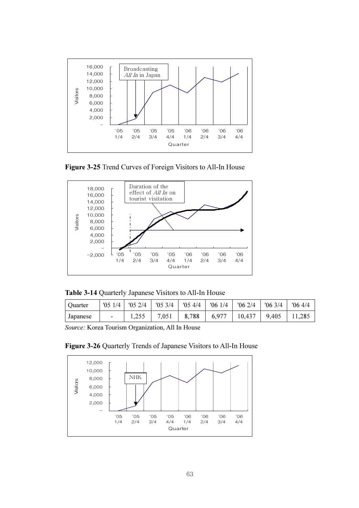

Figure 3-25 Trend Curves of Foreign Visitors to All-In House



Table 3-14 Quarterly Japanese Visitors to All-In House

| Quarter  |        | $'051/4$   $'052/4$   $'053/4$   $'054/4$ |       | 061/4 |                          | $\binom{106}{2}/4$   $\binom{106}{3}/4$ | $06\frac{4}{4}$ |
|----------|--------|-------------------------------------------|-------|-------|--------------------------|-----------------------------------------|-----------------|
| Japanese | $\sim$ | 7,051                                     | 8,788 |       | $6,977$   10,437   9,405 |                                         | 11,285          |

Source: Korea Tourism Organization, All In House



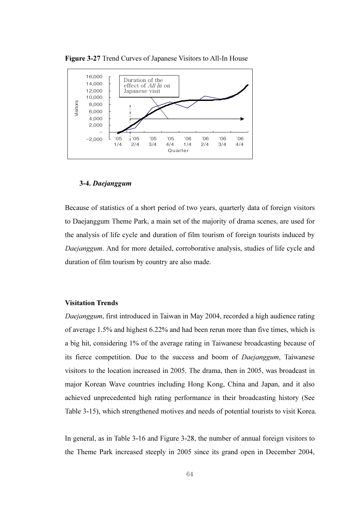

Figure 3-27 Trend Curves of Japanese Visitors to All-In House

#### 3-4. Daejanggum

Because of statistics of a short period of two years, quarterly data of foreign visitors to Daejanggum Theme Park, a main set of the majority of drama scenes, are used for the analysis of life cycle and duration of film tourism of foreign tourists induced by Daejanggum. And for more detailed, corroborative analysis, studies of life cycle and duration of film tourism by country are also made.

#### Visitation Trends

Daejanggum, first introduced in Taiwan in May 2004, recorded a high audience rating of average 1.5% and highest 6.22% and had been rerun more than five times, which is a big hit, considering 1% of the average rating in Taiwanese broadcasting because of its fierce competition. Due to the success and boom of Daejanggum, Taiwanese visitors to the location increased in 2005. The drama, then in 2005, was broadcast in major Korean Wave countries including Hong Kong, China and Japan, and it also achieved unprecedented high rating performance in their broadcasting history (See Table 3-15), which strengthened motives and needs of potential tourists to visit Korea.

In general, as in Table 3-16 and Figure 3-28, the number of annual foreign visitors to the Theme Park increased steeply in 2005 since its grand open in December 2004,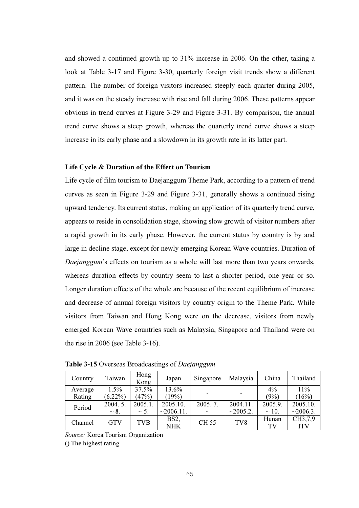and showed a continued growth up to 31% increase in 2006. On the other, taking a look at Table 3-17 and Figure 3-30, quarterly foreign visit trends show a different pattern. The number of foreign visitors increased steeply each quarter during 2005, and it was on the steady increase with rise and fall during 2006. These patterns appear obvious in trend curves at Figure 3-29 and Figure 3-31. By comparison, the annual trend curve shows a steep growth, whereas the quarterly trend curve shows a steep increase in its early phase and a slowdown in its growth rate in its latter part.

#### Life Cycle & Duration of the Effect on Tourism

Life cycle of film tourism to Daejanggum Theme Park, according to a pattern of trend curves as seen in Figure 3-29 and Figure 3-31, generally shows a continued rising upward tendency. Its current status, making an application of its quarterly trend curve, appears to reside in consolidation stage, showing slow growth of visitor numbers after a rapid growth in its early phase. However, the current status by country is by and large in decline stage, except for newly emerging Korean Wave countries. Duration of Daejanggum's effects on tourism as a whole will last more than two years onwards, whereas duration effects by country seem to last a shorter period, one year or so. Longer duration effects of the whole are because of the recent equilibrium of increase and decrease of annual foreign visitors by country origin to the Theme Park. While visitors from Taiwan and Hong Kong were on the decrease, visitors from newly emerged Korean Wave countries such as Malaysia, Singapore and Thailand were on the rise in 2006 (see Table 3-16).

| Country | Taiwan     | Hong<br>Kong | Japan           | Singapore   | Malaysia        | China      | Thailand   |
|---------|------------|--------------|-----------------|-------------|-----------------|------------|------------|
| Average | 1.5%       | 37.5%        | 13.6%           |             |                 | $4\%$      | 11%        |
| Rating  | $(6.22\%)$ | (47%)        | (19%)           |             |                 | (9%)       | (16%)      |
| Period  | 2004.5.    | 2005.1.      | 2005.10.        | 2005.7.     | 2004.11.        | 2005.9.    | 2005.10.   |
|         | $\sim$ 8.  | $\sim$ 5.    | $\sim$ 2006.11. | $\sim$      | ~2005.2.        | $\sim$ 10. | ~2006.3.   |
| Channel | <b>GTV</b> | TVB          | BS2,            | <b>CH55</b> | TV <sub>8</sub> | Hunan      | CH3,7,9    |
|         |            |              | <b>NHK</b>      |             |                 | TV         | <b>ITV</b> |

Table 3-15 Overseas Broadcastings of Daejanggum

Source: Korea Tourism Organization

() The highest rating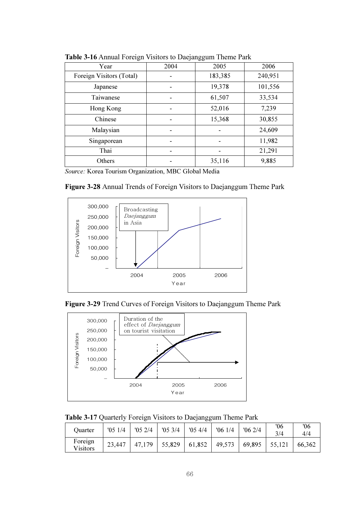| Year                     | 2004 | 2005    | 2006    |
|--------------------------|------|---------|---------|
| Foreign Visitors (Total) |      | 183,385 | 240,951 |
| Japanese                 |      | 19,378  | 101,556 |
| Taiwanese                |      | 61,507  | 33,534  |
| Hong Kong                |      | 52,016  | 7,239   |
| Chinese                  |      | 15,368  | 30,855  |
| Malaysian                |      |         | 24,609  |
| Singaporean              |      |         | 11,982  |
| Thai                     |      |         | 21,291  |
| Others                   |      | 35,116  | 9,885   |

Table 3-16 Annual Foreign Visitors to Daejanggum Theme Park

Source: Korea Tourism Organization, MBC Global Media

Figure 3-28 Annual Trends of Foreign Visitors to Daejanggum Theme Park







Table 3-17 Quarterly Foreign Visitors to Daejanggum Theme Park

| Ouarter             | '051/4 | '052/4 | '053/4 | '054/4 | '061/4 | $'06\ 2/4$ | '06<br>3/4 | 06'<br>4/4 |
|---------------------|--------|--------|--------|--------|--------|------------|------------|------------|
| Foreign<br>Visitors | 23,447 | 47,179 | 55,829 | 61,852 | 49,573 | 69,895     | 55,121     | 66,362     |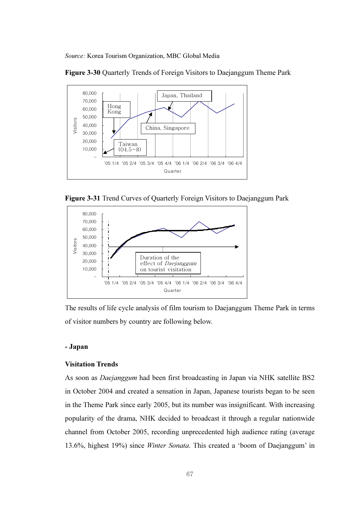Source: Korea Tourism Organization, MBC Global Media





Figure 3-31 Trend Curves of Quarterly Foreign Visitors to Daejanggum Park



The results of life cycle analysis of film tourism to Daejanggum Theme Park in terms of visitor numbers by country are following below.

### - Japan

#### Visitation Trends

As soon as Daejanggum had been first broadcasting in Japan via NHK satellite BS2 in October 2004 and created a sensation in Japan, Japanese tourists began to be seen in the Theme Park since early 2005, but its number was insignificant. With increasing popularity of the drama, NHK decided to broadcast it through a regular nationwide channel from October 2005, recording unprecedented high audience rating (average 13.6%, highest 19%) since Winter Sonata. This created a 'boom of Daejanggum' in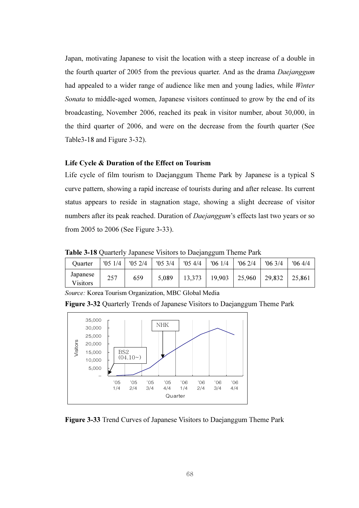Japan, motivating Japanese to visit the location with a steep increase of a double in the fourth quarter of 2005 from the previous quarter. And as the drama Daejanggum had appealed to a wider range of audience like men and young ladies, while Winter Sonata to middle-aged women, Japanese visitors continued to grow by the end of its broadcasting, November 2006, reached its peak in visitor number, about 30,000, in the third quarter of 2006, and were on the decrease from the fourth quarter (See Table3-18 and Figure 3-32).

### Life Cycle & Duration of the Effect on Tourism

Life cycle of film tourism to Daejanggum Theme Park by Japanese is a typical S curve pattern, showing a rapid increase of tourists during and after release. Its current status appears to reside in stagnation stage, showing a slight decrease of visitor numbers after its peak reached. Duration of *Daejanggum*'s effects last two years or so from 2005 to 2006 (See Figure 3-33).

Table 3-18 Quarterly Japanese Visitors to Daejanggum Theme Park

| Ouarter              | '051/4 | '052/4 | '053/4 | '054/4 | '061/4 | 062/4  | $'06\frac{3}{4}$ | 064/4  |
|----------------------|--------|--------|--------|--------|--------|--------|------------------|--------|
| Japanese<br>Visitors | 257    | 659    | 5,089  | 13,373 | 19,903 | 25,960 | 29,832           | 25,861 |

Source: Korea Tourism Organization, MBC Global Media

Figure 3-32 Quarterly Trends of Japanese Visitors to Daejanggum Theme Park



Figure 3-33 Trend Curves of Japanese Visitors to Daejanggum Theme Park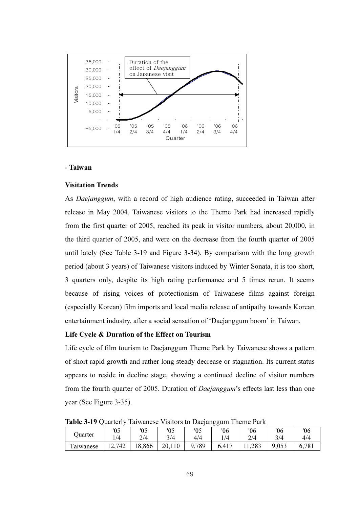

#### - Taiwan

#### Visitation Trends

As Daejanggum, with a record of high audience rating, succeeded in Taiwan after release in May 2004, Taiwanese visitors to the Theme Park had increased rapidly from the first quarter of 2005, reached its peak in visitor numbers, about 20,000, in the third quarter of 2005, and were on the decrease from the fourth quarter of 2005 until lately (See Table 3-19 and Figure 3-34). By comparison with the long growth period (about 3 years) of Taiwanese visitors induced by Winter Sonata, it is too short, 3 quarters only, despite its high rating performance and 5 times rerun. It seems because of rising voices of protectionism of Taiwanese films against foreign (especially Korean) film imports and local media release of antipathy towards Korean entertainment industry, after a social sensation of 'Daejanggum boom' in Taiwan.

### Life Cycle & Duration of the Effect on Tourism

Life cycle of film tourism to Daejanggum Theme Park by Taiwanese shows a pattern of short rapid growth and rather long steady decrease or stagnation. Its current status appears to reside in decline stage, showing a continued decline of visitor numbers from the fourth quarter of 2005. Duration of Daejanggum's effects last less than one year (See Figure 3-35).

Table 3-19 Quarterly Taiwanese Visitors to Daejanggum Theme Park

| Juarter                    | ء ۱<br>υJ    | '05   | '05    | '05      | '06        | '06   | '06   | 06                   |
|----------------------------|--------------|-------|--------|----------|------------|-------|-------|----------------------|
|                            | 1/4          | 2/4   | 3/4    | 4/4      | $\sqrt{4}$ | 2/4   | 3/4   | 4/4                  |
| $\mathbf{r}$<br>l'aiwanese | 2,742<br>14. | 8,866 | 20,110 | 789<br>Q | 6,417      | 1,283 | 9,053 | .781<br>$\mathbf{0}$ |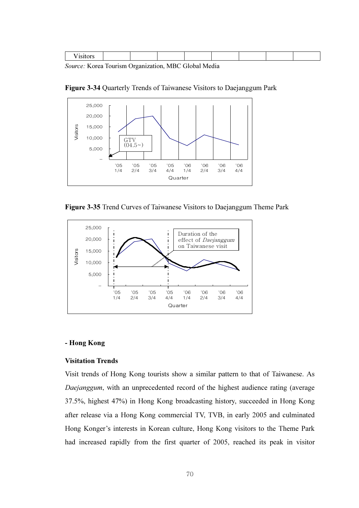|--|

Source: Korea Tourism Organization, MBC Global Media

Figure 3-34 Quarterly Trends of Taiwanese Visitors to Daejanggum Park



Figure 3-35 Trend Curves of Taiwanese Visitors to Daejanggum Theme Park



#### - Hong Kong

#### Visitation Trends

Visit trends of Hong Kong tourists show a similar pattern to that of Taiwanese. As Daejanggum, with an unprecedented record of the highest audience rating (average 37.5%, highest 47%) in Hong Kong broadcasting history, succeeded in Hong Kong after release via a Hong Kong commercial TV, TVB, in early 2005 and culminated Hong Konger's interests in Korean culture, Hong Kong visitors to the Theme Park had increased rapidly from the first quarter of 2005, reached its peak in visitor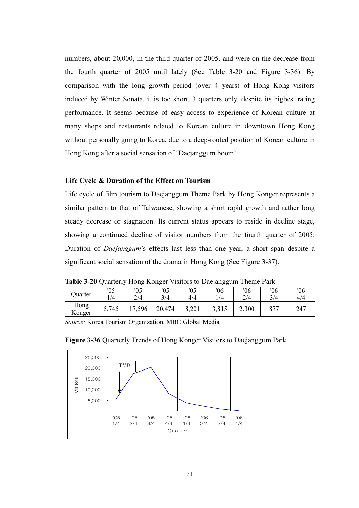numbers, about 20,000, in the third quarter of 2005, and were on the decrease from the fourth quarter of 2005 until lately (See Table 3-20 and Figure 3-36). By comparison with the long growth period (over 4 years) of Hong Kong visitors induced by Winter Sonata, it is too short, 3 quarters only, despite its highest rating performance. It seems because of easy access to experience of Korean culture at many shops and restaurants related to Korean culture in downtown Hong Kong without personally going to Korea, due to a deep-rooted position of Korean culture in Hong Kong after a social sensation of 'Daejanggum boom'.

#### Life Cycle & Duration of the Effect on Tourism

Life cycle of film tourism to Daejanggum Theme Park by Hong Konger represents a similar pattern to that of Taiwanese, showing a short rapid growth and rather long steady decrease or stagnation. Its current status appears to reside in decline stage, showing a continued decline of visitor numbers from the fourth quarter of 2005. Duration of Daejanggum's effects last less than one year, a short span despite a significant social sensation of the drama in Hong Kong (See Figure 3-37).

Table 3-20 Quarterly Hong Konger Visitors to Daejanggum Theme Park

| <b>Juarter</b> | 05    | 05                     | '05    | '05   | '06   | '06   | 06  | '06 |
|----------------|-------|------------------------|--------|-------|-------|-------|-----|-----|
|                | 1/4   | 2/4                    | 3/4    | 4/4   | 1/4   | 2/4   | 3/4 | 4/4 |
| Hong<br>Konger | 5,745 | ,596<br>$\overline{ }$ | 20,474 | 8,201 | 3,815 | 2,300 | 877 | 247 |

Source: Korea Tourism Organization, MBC Global Media



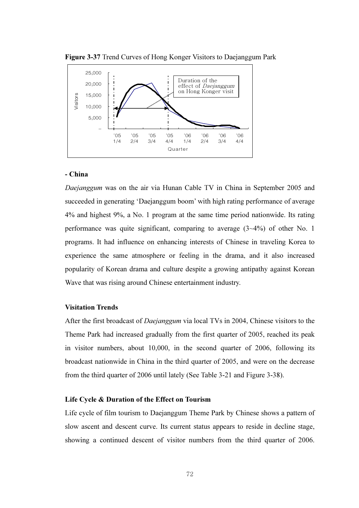



#### - China

Daejanggum was on the air via Hunan Cable TV in China in September 2005 and succeeded in generating 'Daejanggum boom' with high rating performance of average 4% and highest 9%, a No. 1 program at the same time period nationwide. Its rating performance was quite significant, comparing to average (3~4%) of other No. 1 programs. It had influence on enhancing interests of Chinese in traveling Korea to experience the same atmosphere or feeling in the drama, and it also increased popularity of Korean drama and culture despite a growing antipathy against Korean Wave that was rising around Chinese entertainment industry.

#### Visitation Trends

After the first broadcast of *Daejanggum* via local TVs in 2004, Chinese visitors to the Theme Park had increased gradually from the first quarter of 2005, reached its peak in visitor numbers, about 10,000, in the second quarter of 2006, following its broadcast nationwide in China in the third quarter of 2005, and were on the decrease from the third quarter of 2006 until lately (See Table 3-21 and Figure 3-38).

### Life Cycle & Duration of the Effect on Tourism

Life cycle of film tourism to Daejanggum Theme Park by Chinese shows a pattern of slow ascent and descent curve. Its current status appears to reside in decline stage, showing a continued descent of visitor numbers from the third quarter of 2006.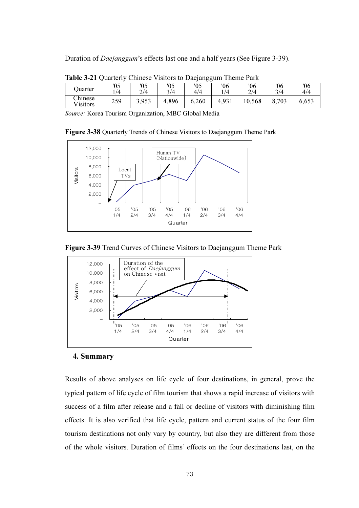Duration of Daejanggum's effects last one and a half years (See Figure 3-39).

| $\frac{1}{2}$ and $\frac{1}{2}$ and $\frac{1}{2}$ compacts to burguing $\frac{1}{2}$ and $\frac{1}{2}$ and $\frac{1}{2}$ and $\frac{1}{2}$ |     |       |       |       |       |        |       |       |
|--------------------------------------------------------------------------------------------------------------------------------------------|-----|-------|-------|-------|-------|--------|-------|-------|
| Ouarter                                                                                                                                    | '05 | U5    |       | '05   | '06   | '06    | '06   | '06   |
|                                                                                                                                            | /4  | 2/4   | 3/4   | 4/4   | 1/4   | 2/4    | 3/4   | 4/4   |
| Chinese<br>Visitors                                                                                                                        | 259 | 3,953 | 4,896 | 6,260 | 4,931 | 10,568 | 8,703 | 6,653 |

Table 3-21 Quarterly Chinese Visitors to Daejanggum Theme Park

Source: Korea Tourism Organization, MBC Global Media

Figure 3-38 Quarterly Trends of Chinese Visitors to Daejanggum Theme Park



Figure 3-39 Trend Curves of Chinese Visitors to Daejanggum Theme Park



#### 4. Summary

Results of above analyses on life cycle of four destinations, in general, prove the typical pattern of life cycle of film tourism that shows a rapid increase of visitors with success of a film after release and a fall or decline of visitors with diminishing film effects. It is also verified that life cycle, pattern and current status of the four film tourism destinations not only vary by country, but also they are different from those of the whole visitors. Duration of films' effects on the four destinations last, on the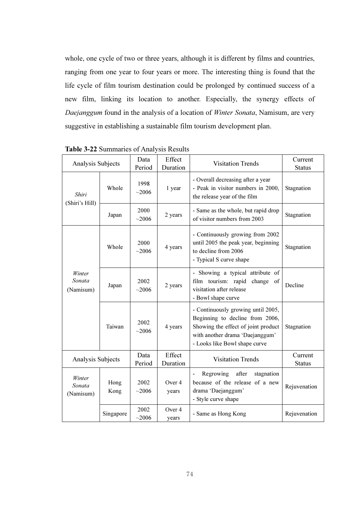whole, one cycle of two or three years, although it is different by films and countries, ranging from one year to four years or more. The interesting thing is found that the life cycle of film tourism destination could be prolonged by continued success of a new film, linking its location to another. Especially, the synergy effects of Daejanggum found in the analysis of a location of Winter Sonata, Namisum, are very suggestive in establishing a sustainable film tourism development plan.

| Analysis Subjects             |              | Data<br>Period | $\mu$ <sub>2</sub> $\mu$ $\mu$ $\mu$ <sup>2</sup> $\mu$ <sup>2</sup> $\mu$ <sup>2</sup> $\mu$ <sup>2</sup> $\mu$ <sup>2</sup> $\mu$ <sup>2</sup> $\mu$ <sup>2</sup> $\mu$ <sup>2</sup> $\mu$ <sup>2</sup> $\mu$ <sup>2</sup> $\mu$ <sup>2</sup> $\mu$ <sup>2</sup> $\mu$ <sup>2</sup> $\mu$ <sup>2</sup> $\mu$ <sup>2</sup> $\mu$ <sup>2</sup> $\mu$ <sup>2</sup> $\mu$ <sup>2</sup> $\mu$ <sup>2</sup> $\mu$ <sup>2</sup> $\mu$ <sup>2</sup> $\mu$ <sup>2</sup> $\mu$ <sup>2</sup> $\mu$ <sup>2</sup> $\mu$ <sup>2</sup> $\mu$ <sup>2</sup> $\mu$ <sup>2</sup> $\mu$ <sup>2</sup><br>Effect<br>Duration | <b>Visitation Trends</b>                                                                                                                                                         | Current<br><b>Status</b> |
|-------------------------------|--------------|----------------|----------------------------------------------------------------------------------------------------------------------------------------------------------------------------------------------------------------------------------------------------------------------------------------------------------------------------------------------------------------------------------------------------------------------------------------------------------------------------------------------------------------------------------------------------------------------------------------------------------|----------------------------------------------------------------------------------------------------------------------------------------------------------------------------------|--------------------------|
| Shiri<br>(Shiri's Hill)       | Whole        | 1998<br>~12006 | 1 year                                                                                                                                                                                                                                                                                                                                                                                                                                                                                                                                                                                                   | - Overall decreasing after a year<br>- Peak in visitor numbers in 2000,<br>the release year of the film                                                                          | Stagnation               |
|                               | Japan        | 2000<br>~12006 | 2 years                                                                                                                                                                                                                                                                                                                                                                                                                                                                                                                                                                                                  | - Same as the whole, but rapid drop<br>of visitor numbers from 2003                                                                                                              | Stagnation               |
|                               | Whole        | 2000<br>~2006  | 4 years                                                                                                                                                                                                                                                                                                                                                                                                                                                                                                                                                                                                  | - Continuously growing from 2002<br>until 2005 the peak year, beginning<br>to decline from 2006<br>- Typical S curve shape                                                       | Stagnation               |
| Winter<br>Sonata<br>(Namisum) | Japan        | 2002<br>~12006 | 2 years                                                                                                                                                                                                                                                                                                                                                                                                                                                                                                                                                                                                  | - Showing a typical attribute of<br>film tourism: rapid change of<br>visitation after release<br>- Bowl shape curve                                                              | Decline                  |
|                               | Taiwan       | 2002<br>~2006  | 4 years                                                                                                                                                                                                                                                                                                                                                                                                                                                                                                                                                                                                  | - Continuously growing until 2005,<br>Beginning to decline from 2006,<br>Showing the effect of joint product<br>with another drama 'Daejanggum'<br>- Looks like Bowl shape curve | Stagnation               |
| Analysis Subjects             |              | Data<br>Period | Effect<br>Duration                                                                                                                                                                                                                                                                                                                                                                                                                                                                                                                                                                                       | <b>Visitation Trends</b>                                                                                                                                                         | Current<br><b>Status</b> |
| Winter<br>Sonata<br>(Namisum) | Hong<br>Kong | 2002<br>~12006 | Over 4<br>years                                                                                                                                                                                                                                                                                                                                                                                                                                                                                                                                                                                          | Regrowing<br>after<br>stagnation<br>$\overline{\phantom{0}}$<br>because of the release of a new<br>drama 'Daejanggum'<br>- Style curve shape                                     | Rejuvenation             |
|                               | Singapore    | 2002<br>~12006 | Over 4<br>years                                                                                                                                                                                                                                                                                                                                                                                                                                                                                                                                                                                          | - Same as Hong Kong                                                                                                                                                              | Rejuvenation             |

Table 3-22 Summaries of Analysis Results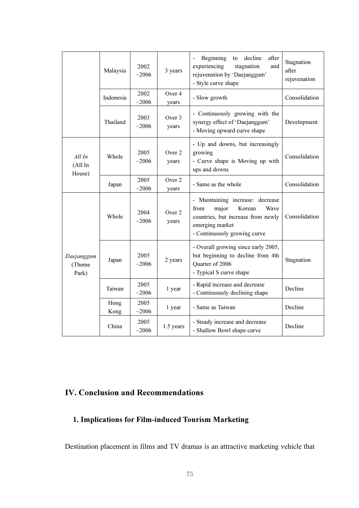|                               | Malaysia     | 2002<br>~12006    | 3 years         | Beginning<br>after<br>decline<br>to<br>experiencing<br>stagnation<br>and<br>rejuvenation by 'Daejanggum'<br>- Style curve shape                              | Stagnation<br>after<br>rejuvenation |
|-------------------------------|--------------|-------------------|-----------------|--------------------------------------------------------------------------------------------------------------------------------------------------------------|-------------------------------------|
|                               | Indonesia    | 2002<br>~12006    | Over 4<br>years | - Slow growth                                                                                                                                                | Consolidation                       |
|                               | Thailand     | 2003<br>~12006    | Over 3<br>years | - Continuously growing with the<br>synergy effect of 'Daejanggum'<br>- Moving upward curve shape                                                             | Development                         |
| AllIn<br>(All In<br>House)    | Whole        | 2005<br>~2006     | Over 2<br>years | - Up and downs, but increasingly<br>growing<br>- Curve shape is Moving up with<br>ups and downs                                                              | Consolidation                       |
|                               | Japan        | 2005<br>~12006    | Over 2<br>years | - Same as the whole                                                                                                                                          | Consolidation                       |
| Daejanggum<br>(Theme<br>Park) | Whole        | 2004<br>~2006     | Over 2<br>years | - Maintaining increase: decrease<br>major<br>Korean<br>from<br>Wave<br>countries, but increase from newly<br>emerging market<br>- Continuously growing curve | Consolidation                       |
|                               | Japan        | 2005<br>~12006    | 2 years         | - Overall growing since early 2005,<br>but beginning to decline from 4th<br>Quarter of 2006<br>- Typical S curve shape                                       | Stagnation                          |
|                               | Taiwan       | 2005<br>$~1$ 2006 | 1 year          | - Rapid increase and decrease<br>- Continuously declining shape                                                                                              | Decline                             |
|                               | Hong<br>Kong | 2005<br>~12006    | 1 year          | - Same as Taiwan                                                                                                                                             | Decline                             |
|                               | China        | 2005<br>~12006    | 1.5 years       | - Steady increase and decrease<br>- Shallow Bowl shape curve                                                                                                 | Decline                             |

# IV. Conclusion and Recommendations

# 1. Implications for Film-induced Tourism Marketing

Destination placement in films and TV dramas is an attractive marketing vehicle that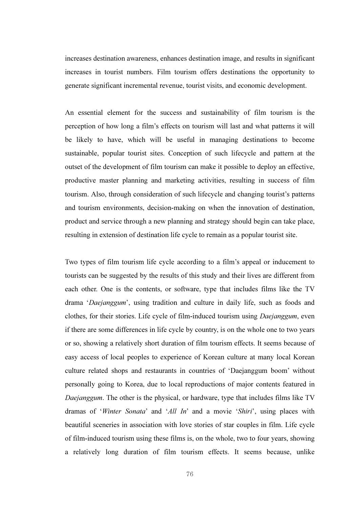increases destination awareness, enhances destination image, and results in significant increases in tourist numbers. Film tourism offers destinations the opportunity to generate significant incremental revenue, tourist visits, and economic development.

An essential element for the success and sustainability of film tourism is the perception of how long a film's effects on tourism will last and what patterns it will be likely to have, which will be useful in managing destinations to become sustainable, popular tourist sites. Conception of such lifecycle and pattern at the outset of the development of film tourism can make it possible to deploy an effective, productive master planning and marketing activities, resulting in success of film tourism. Also, through consideration of such lifecycle and changing tourist's patterns and tourism environments, decision-making on when the innovation of destination, product and service through a new planning and strategy should begin can take place, resulting in extension of destination life cycle to remain as a popular tourist site.

Two types of film tourism life cycle according to a film's appeal or inducement to tourists can be suggested by the results of this study and their lives are different from each other. One is the contents, or software, type that includes films like the TV drama 'Daejanggum', using tradition and culture in daily life, such as foods and clothes, for their stories. Life cycle of film-induced tourism using Daejanggum, even if there are some differences in life cycle by country, is on the whole one to two years or so, showing a relatively short duration of film tourism effects. It seems because of easy access of local peoples to experience of Korean culture at many local Korean culture related shops and restaurants in countries of 'Daejanggum boom' without personally going to Korea, due to local reproductions of major contents featured in Daejanggum. The other is the physical, or hardware, type that includes films like TV dramas of 'Winter Sonata' and 'All In' and a movie 'Shiri', using places with beautiful sceneries in association with love stories of star couples in film. Life cycle of film-induced tourism using these films is, on the whole, two to four years, showing a relatively long duration of film tourism effects. It seems because, unlike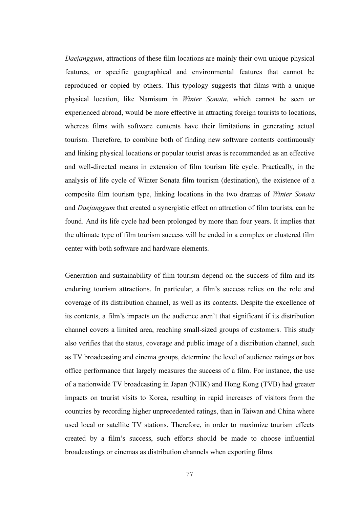Daejanggum, attractions of these film locations are mainly their own unique physical features, or specific geographical and environmental features that cannot be reproduced or copied by others. This typology suggests that films with a unique physical location, like Namisum in Winter Sonata, which cannot be seen or experienced abroad, would be more effective in attracting foreign tourists to locations, whereas films with software contents have their limitations in generating actual tourism. Therefore, to combine both of finding new software contents continuously and linking physical locations or popular tourist areas is recommended as an effective and well-directed means in extension of film tourism life cycle. Practically, in the analysis of life cycle of Winter Sonata film tourism (destination), the existence of a composite film tourism type, linking locations in the two dramas of Winter Sonata and Daejanggum that created a synergistic effect on attraction of film tourists, can be found. And its life cycle had been prolonged by more than four years. It implies that the ultimate type of film tourism success will be ended in a complex or clustered film center with both software and hardware elements.

Generation and sustainability of film tourism depend on the success of film and its enduring tourism attractions. In particular, a film's success relies on the role and coverage of its distribution channel, as well as its contents. Despite the excellence of its contents, a film's impacts on the audience aren't that significant if its distribution channel covers a limited area, reaching small-sized groups of customers. This study also verifies that the status, coverage and public image of a distribution channel, such as TV broadcasting and cinema groups, determine the level of audience ratings or box office performance that largely measures the success of a film. For instance, the use of a nationwide TV broadcasting in Japan (NHK) and Hong Kong (TVB) had greater impacts on tourist visits to Korea, resulting in rapid increases of visitors from the countries by recording higher unprecedented ratings, than in Taiwan and China where used local or satellite TV stations. Therefore, in order to maximize tourism effects created by a film's success, such efforts should be made to choose influential broadcastings or cinemas as distribution channels when exporting films.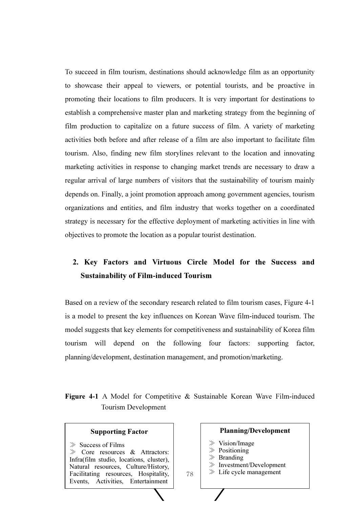To succeed in film tourism, destinations should acknowledge film as an opportunity to showcase their appeal to viewers, or potential tourists, and be proactive in promoting their locations to film producers. It is very important for destinations to establish a comprehensive master plan and marketing strategy from the beginning of film production to capitalize on a future success of film. A variety of marketing activities both before and after release of a film are also important to facilitate film tourism. Also, finding new film storylines relevant to the location and innovating marketing activities in response to changing market trends are necessary to draw a regular arrival of large numbers of visitors that the sustainability of tourism mainly depends on. Finally, a joint promotion approach among government agencies, tourism organizations and entities, and film industry that works together on a coordinated strategy is necessary for the effective deployment of marketing activities in line with objectives to promote the location as a popular tourist destination.

# 2. Key Factors and Virtuous Circle Model for the Success and Sustainability of Film-induced Tourism

Based on a review of the secondary research related to film tourism cases, Figure 4-1 is a model to present the key influences on Korean Wave film-induced tourism. The model suggests that key elements for competitiveness and sustainability of Korea film tourism will depend on the following four factors: supporting factor, planning/development, destination management, and promotion/marketing.

## Figure 4-1 A Model for Competitive & Sustainable Korean Wave Film-induced Tourism Development

78

#### Supporting Factor

- $\gg$  Success of Films
- ≫ Core resources & Attractors: Infra(film studio, locations, cluster), Natural resources, Culture/History, Facilitating resources, Hospitality, Events, Activities, Entertainment

### Planning/Development ≫ Vision/Image ≫ Positioning ≫ Branding

- ≫ Investment/Development
- $\gg$  Life cycle management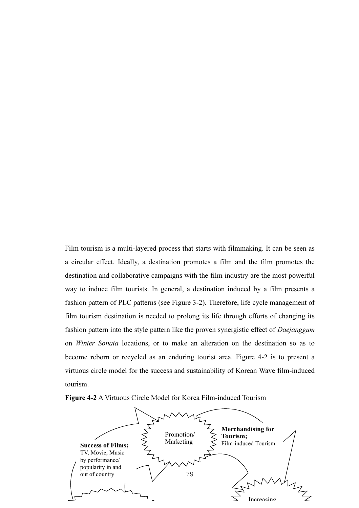Film tourism is a multi-layered process that starts with filmmaking. It can be seen as a circular effect. Ideally, a destination promotes a film and the film promotes the destination and collaborative campaigns with the film industry are the most powerful way to induce film tourists. In general, a destination induced by a film presents a fashion pattern of PLC patterns (see Figure 3-2). Therefore, life cycle management of film tourism destination is needed to prolong its life through efforts of changing its fashion pattern into the style pattern like the proven synergistic effect of Daejanggum on Winter Sonata locations, or to make an alteration on the destination so as to become reborn or recycled as an enduring tourist area. Figure 4-2 is to present a virtuous circle model for the success and sustainability of Korean Wave film-induced tourism.



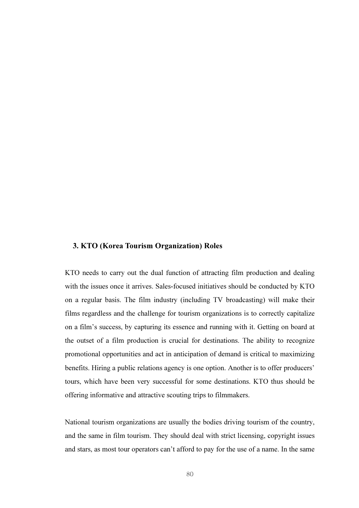#### 3. KTO (Korea Tourism Organization) Roles

KTO needs to carry out the dual function of attracting film production and dealing with the issues once it arrives. Sales-focused initiatives should be conducted by KTO on a regular basis. The film industry (including TV broadcasting) will make their films regardless and the challenge for tourism organizations is to correctly capitalize on a film's success, by capturing its essence and running with it. Getting on board at the outset of a film production is crucial for destinations. The ability to recognize promotional opportunities and act in anticipation of demand is critical to maximizing benefits. Hiring a public relations agency is one option. Another is to offer producers' tours, which have been very successful for some destinations. KTO thus should be offering informative and attractive scouting trips to filmmakers.

National tourism organizations are usually the bodies driving tourism of the country, and the same in film tourism. They should deal with strict licensing, copyright issues and stars, as most tour operators can't afford to pay for the use of a name. In the same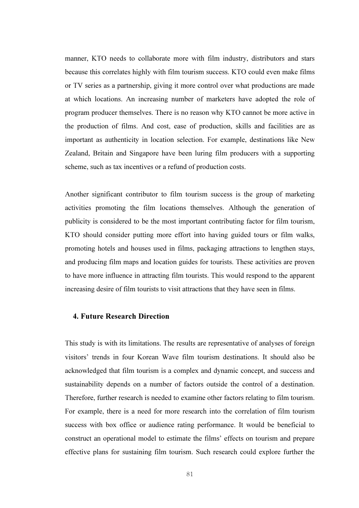manner, KTO needs to collaborate more with film industry, distributors and stars because this correlates highly with film tourism success. KTO could even make films or TV series as a partnership, giving it more control over what productions are made at which locations. An increasing number of marketers have adopted the role of program producer themselves. There is no reason why KTO cannot be more active in the production of films. And cost, ease of production, skills and facilities are as important as authenticity in location selection. For example, destinations like New Zealand, Britain and Singapore have been luring film producers with a supporting scheme, such as tax incentives or a refund of production costs.

Another significant contributor to film tourism success is the group of marketing activities promoting the film locations themselves. Although the generation of publicity is considered to be the most important contributing factor for film tourism, KTO should consider putting more effort into having guided tours or film walks, promoting hotels and houses used in films, packaging attractions to lengthen stays, and producing film maps and location guides for tourists. These activities are proven to have more influence in attracting film tourists. This would respond to the apparent increasing desire of film tourists to visit attractions that they have seen in films.

### 4. Future Research Direction

This study is with its limitations. The results are representative of analyses of foreign visitors' trends in four Korean Wave film tourism destinations. It should also be acknowledged that film tourism is a complex and dynamic concept, and success and sustainability depends on a number of factors outside the control of a destination. Therefore, further research is needed to examine other factors relating to film tourism. For example, there is a need for more research into the correlation of film tourism success with box office or audience rating performance. It would be beneficial to construct an operational model to estimate the films' effects on tourism and prepare effective plans for sustaining film tourism. Such research could explore further the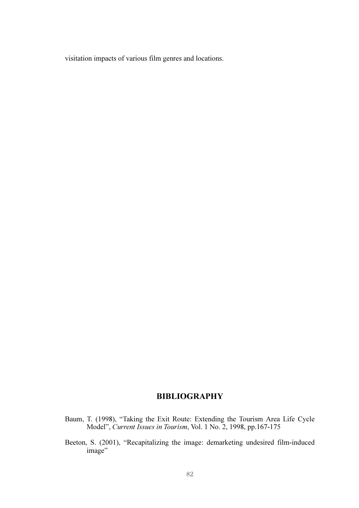visitation impacts of various film genres and locations.

# BIBLIOGRAPHY

- Baum, T. (1998), "Taking the Exit Route: Extending the Tourism Area Life Cycle Model", Current Issues in Tourism, Vol. 1 No. 2, 1998, pp.167-175
- Beeton, S. (2001), "Recapitalizing the image: demarketing undesired film-induced image"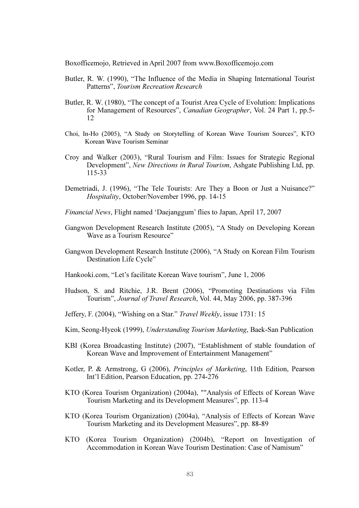Boxofficemojo, Retrieved in April 2007 from www.Boxofficemojo.com

- Butler, R. W. (1990), "The Influence of the Media in Shaping International Tourist Patterns", Tourism Recreation Research
- Butler, R. W. (1980), "The concept of a Tourist Area Cycle of Evolution: Implications for Management of Resources", Canadian Geographer, Vol. 24 Part 1, pp.5- 12
- Choi, In-Ho (2005), "A Study on Storytelling of Korean Wave Tourism Sources", KTO Korean Wave Tourism Seminar
- Croy and Walker (2003), "Rural Tourism and Film: Issues for Strategic Regional Development", New Directions in Rural Tourism, Ashgate Publishing Ltd, pp. 115-33
- Demetriadi, J. (1996), "The Tele Tourists: Are They a Boon or Just a Nuisance?" Hospitality, October/November 1996, pp. 14-15
- Financial News, Flight named 'Daejanggum' flies to Japan, April 17, 2007
- Gangwon Development Research Institute (2005), "A Study on Developing Korean Wave as a Tourism Resource"
- Gangwon Development Research Institute (2006), "A Study on Korean Film Tourism Destination Life Cycle"
- Hankooki.com, "Let's facilitate Korean Wave tourism", June 1, 2006
- Hudson, S. and Ritchie, J.R. Brent (2006), "Promoting Destinations via Film Tourism", Journal of Travel Research, Vol. 44, May 2006, pp. 387-396
- Jeffery, F. (2004), "Wishing on a Star." Travel Weekly, issue 1731: 15
- Kim, Seong-Hyeok (1999), Understanding Tourism Marketing, Baek-San Publication
- KBI (Korea Broadcasting Institute) (2007), "Establishment of stable foundation of Korean Wave and Improvement of Entertainment Management"
- Kotler, P. & Armstrong, G (2006), Principles of Marketing, 11th Edition, Pearson Int'l Edition, Pearson Education, pp. 274-276
- KTO (Korea Tourism Organization) (2004a), ""Analysis of Effects of Korean Wave Tourism Marketing and its Development Measures", pp. 113-4
- KTO (Korea Tourism Organization) (2004a), "Analysis of Effects of Korean Wave Tourism Marketing and its Development Measures", pp. 88-89
- KTO (Korea Tourism Organization) (2004b), "Report on Investigation of Accommodation in Korean Wave Tourism Destination: Case of Namisum"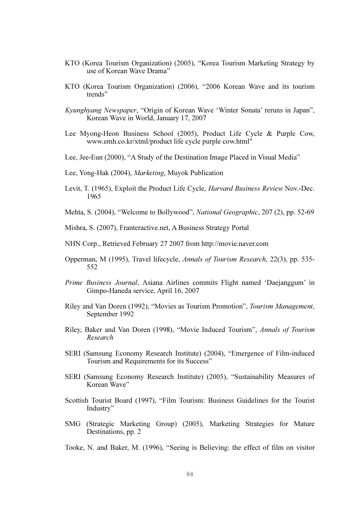- KTO (Korea Tourism Organization) (2005), "Korea Tourism Marketing Strategy by use of Korean Wave Drama"
- KTO (Korea Tourism Organization) (2006), "2006 Korean Wave and its tourism trends"
- Kyunghyang Newspaper, "Origin of Korean Wave 'Winter Sonata' reruns in Japan", Korean Wave in World, January 17, 2007
- Lee Myong-Heon Business School (2005), Product Life Cycle & Purple Cow, www.emh.co.kr/xtml/product life cycle purple cow.html"
- Lee, Jee-Eun (2000), "A Study of the Destination Image Placed in Visual Media"
- Lee, Yong-Hak (2004), Marketing, Muyok Publication
- Levit, T. (1965), Exploit the Product Life Cycle, Harvard Business Review Nov.-Dec. 1965
- Mehta, S. (2004), "Welcome to Bollywood", National Geographic, 207 (2), pp. 52-69
- Mishra, S. (2007), Franteractive.net, A Business Strategy Portal
- NHN Corp., Retrieved February 27 2007 from http://movie.naver.com
- Opperman, M (1995), Travel lifecycle, Annals of Tourism Research, 22(3), pp. 535- 552
- Prime Business Journal, Asiana Airlines commits Flight named 'Daejanggum' in Gimpo-Haneda service, April 16, 2007
- Riley and Van Doren (1992), "Movies as Tourism Promotion", Tourism Management, September 1992
- Riley, Baker and Van Doren (1998), "Movie Induced Tourism", Annals of Tourism Research
- SERI (Samsung Economy Research Institute) (2004), "Emergence of Film-induced Tourism and Requirements for its Success"
- SERI (Samsung Economy Research Institute) (2005), "Sustainability Measures of Korean Wave"
- Scottish Tourist Board (1997), "Film Tourism: Business Guidelines for the Tourist Industry"
- SMG (Strategic Marketing Group) (2005), Marketing Strategies for Mature Destinations, pp. 2
- Tooke, N. and Baker, M. (1996), "Seeing is Believing: the effect of film on visitor